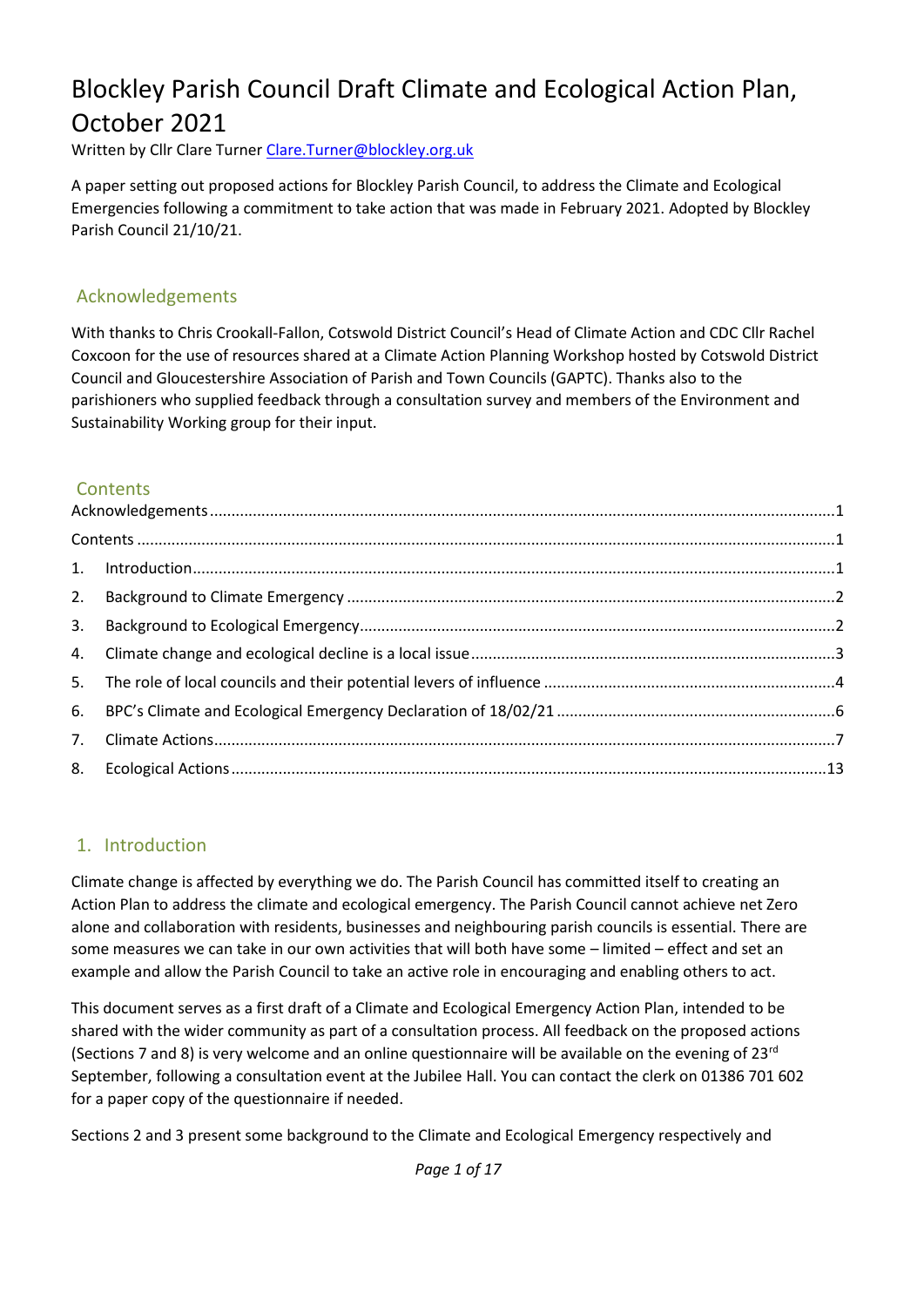# Blockley Parish Council Draft Climate and Ecological Action Plan, October 2021

Written by Cllr Clare Turner [Clare.Turner@blockley.org.uk](mailto:Clare.Turner@blockley.org.uk)

A paper setting out proposed actions for Blockley Parish Council, to address the Climate and Ecological Emergencies following a commitment to take action that was made in February 2021. Adopted by Blockley Parish Council 21/10/21.

#### <span id="page-0-0"></span>Acknowledgements

With thanks to Chris Crookall-Fallon, Cotswold District Council's Head of Climate Action and CDC Cllr Rachel Coxcoon for the use of resources shared at a Climate Action Planning Workshop hosted by Cotswold District Council and Gloucestershire Association of Parish and Town Councils (GAPTC). Thanks also to the parishioners who supplied feedback through a consultation survey and members of the Environment and Sustainability Working group for their input.

### <span id="page-0-1"></span>**Contents**

| $Contents \dots 1$ |  |
|--------------------|--|
|                    |  |
|                    |  |
|                    |  |
|                    |  |
|                    |  |
|                    |  |
|                    |  |
|                    |  |
|                    |  |

#### <span id="page-0-2"></span>1. Introduction

Climate change is affected by everything we do. The Parish Council has committed itself to creating an Action Plan to address the climate and ecological emergency. The Parish Council cannot achieve net Zero alone and collaboration with residents, businesses and neighbouring parish councils is essential. There are some measures we can take in our own activities that will both have some – limited – effect and set an example and allow the Parish Council to take an active role in encouraging and enabling others to act.

This document serves as a first draft of a Climate and Ecological Emergency Action Plan, intended to be shared with the wider community as part of a consultation process. All feedback on the proposed actions (Sections 7 and 8) is very welcome and an online questionnaire will be available on the evening of  $23^{\text{rd}}$ September, following a consultation event at the Jubilee Hall. You can contact the clerk on 01386 701 602 for a paper copy of the questionnaire if needed.

Sections 2 and 3 present some background to the Climate and Ecological Emergency respectively and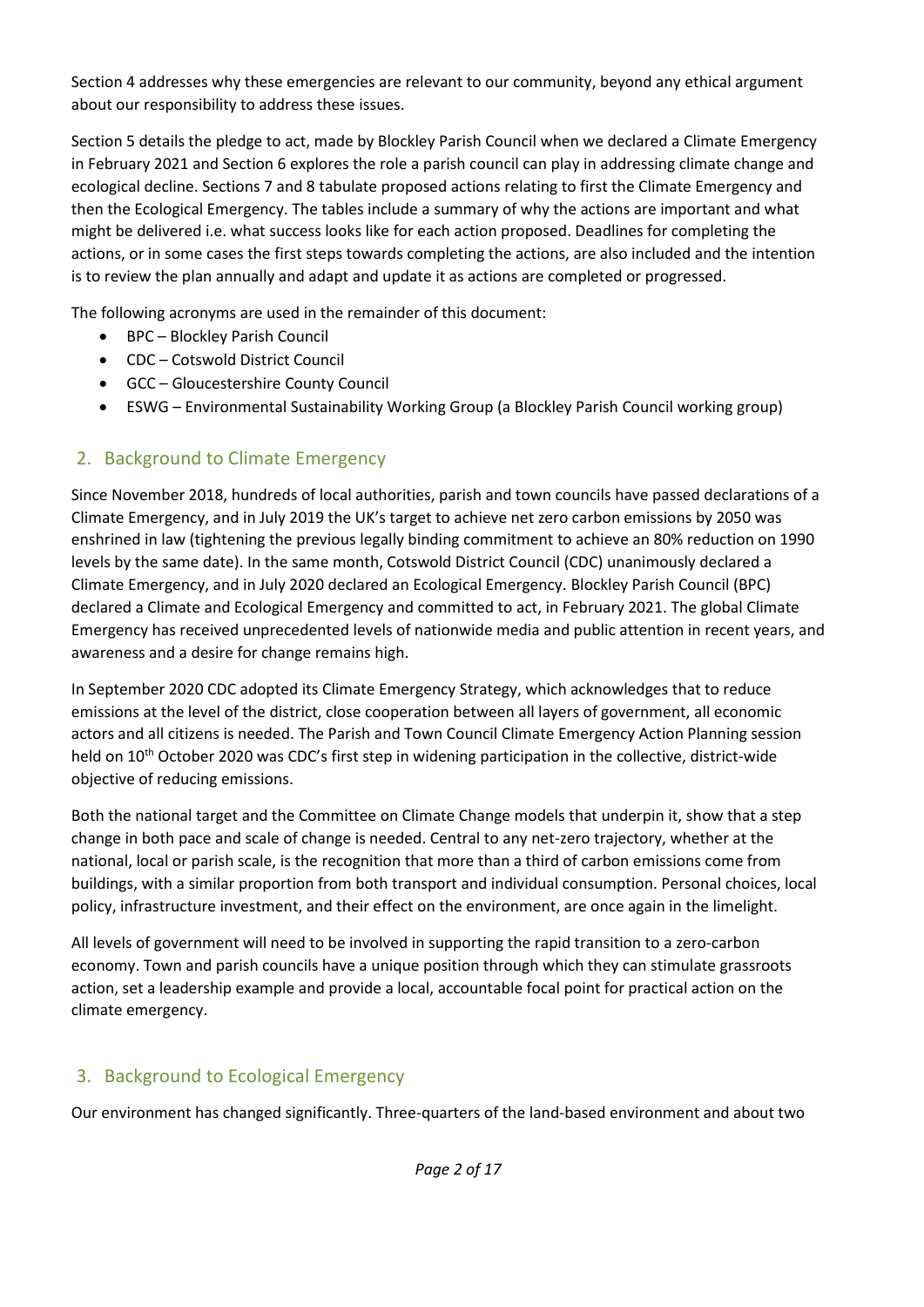Section 4 addresses why these emergencies are relevant to our community, beyond any ethical argument about our responsibility to address these issues.

Section 5 details the pledge to act, made by Blockley Parish Council when we declared a Climate Emergency in February 2021 and Section 6 explores the role a parish council can play in addressing climate change and ecological decline. Sections 7 and 8 tabulate proposed actions relating to first the Climate Emergency and then the Ecological Emergency. The tables include a summary of why the actions are important and what might be delivered i.e. what success looks like for each action proposed. Deadlines for completing the actions, or in some cases the first steps towards completing the actions, are also included and the intention is to review the plan annually and adapt and update it as actions are completed or progressed.

The following acronyms are used in the remainder of this document:

- BPC Blockley Parish Council
- CDC Cotswold District Council
- GCC Gloucestershire County Council
- ESWG Environmental Sustainability Working Group (a Blockley Parish Council working group)

## <span id="page-1-0"></span>2. Background to Climate Emergency

Since November 2018, hundreds of local authorities, parish and town councils have passed declarations of a Climate Emergency, and in July 2019 the UK's target to achieve net zero carbon emissions by 2050 was enshrined in law (tightening the previous legally binding commitment to achieve an 80% reduction on 1990 levels by the same date). In the same month, Cotswold District Council (CDC) unanimously declared a Climate Emergency, and in July 2020 declared an Ecological Emergency. Blockley Parish Council (BPC) declared a Climate and Ecological Emergency and committed to act, in February 2021. The global Climate Emergency has received unprecedented levels of nationwide media and public attention in recent years, and awareness and a desire for change remains high.

In September 2020 CDC adopted its Climate Emergency Strategy, which acknowledges that to reduce emissions at the level of the district, close cooperation between all layers of government, all economic actors and all citizens is needed. The Parish and Town Council Climate Emergency Action Planning session held on 10<sup>th</sup> October 2020 was CDC's first step in widening participation in the collective, district-wide objective of reducing emissions.

Both the national target and the Committee on Climate Change models that underpin it, show that a step change in both pace and scale of change is needed. Central to any net-zero trajectory, whether at the national, local or parish scale, is the recognition that more than a third of carbon emissions come from buildings, with a similar proportion from both transport and individual consumption. Personal choices, local policy, infrastructure investment, and their effect on the environment, are once again in the limelight.

All levels of government will need to be involved in supporting the rapid transition to a zero-carbon economy. Town and parish councils have a unique position through which they can stimulate grassroots action, set a leadership example and provide a local, accountable focal point for practical action on the climate emergency.

## <span id="page-1-1"></span>3. Background to Ecological Emergency

Our environment has changed significantly. Three-quarters of the land-based environment and about two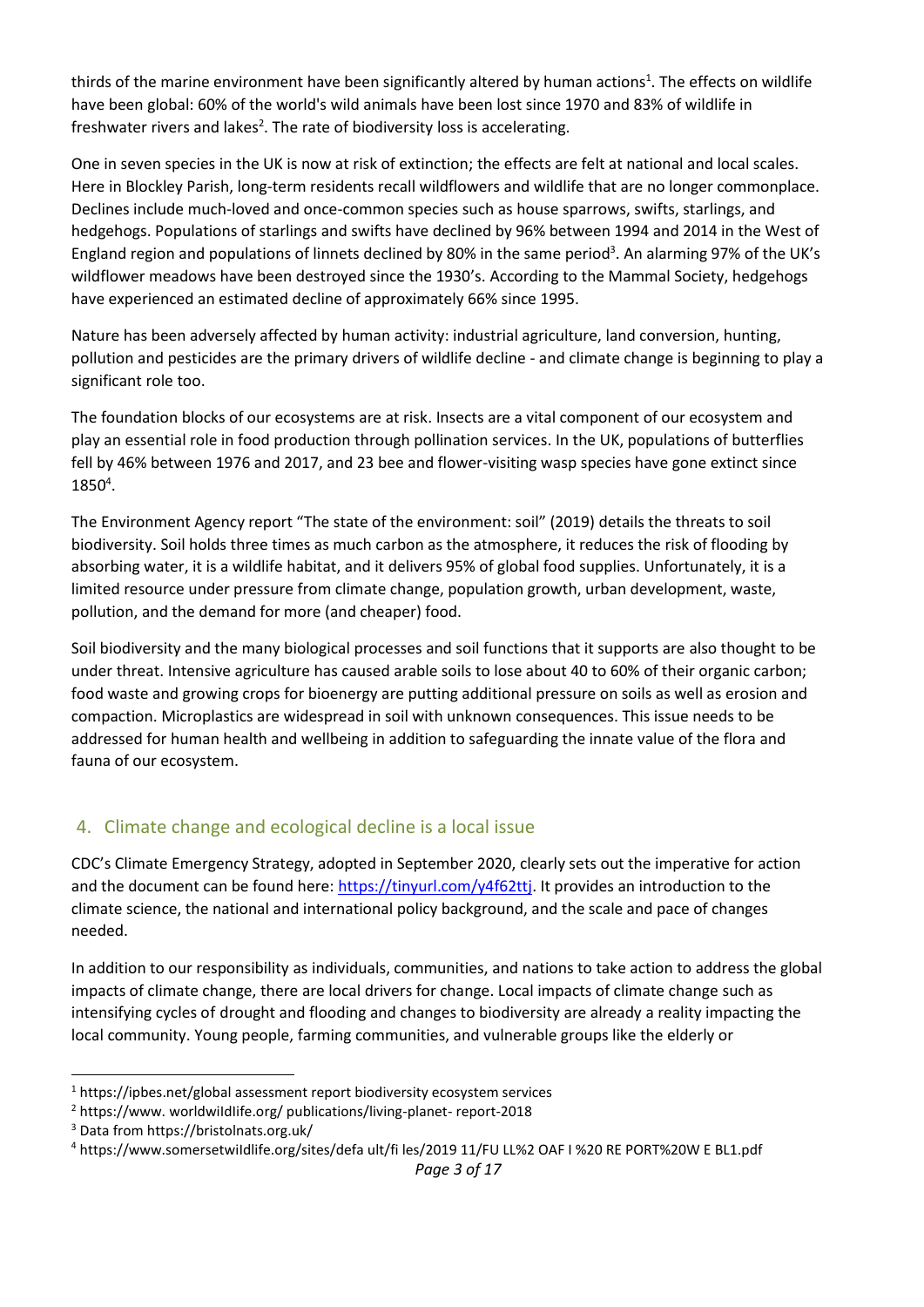thirds of the marine environment have been significantly altered by human actions<sup>1</sup>. The effects on wildlife have been global: 60% of the world's wild animals have been lost since 1970 and 83% of wildlife in freshwater rivers and lakes<sup>2</sup>. The rate of biodiversity loss is accelerating.

One in seven species in the UK is now at risk of extinction; the effects are felt at national and local scales. Here in Blockley Parish, long-term residents recall wildflowers and wildlife that are no longer commonplace. Declines include much-loved and once-common species such as house sparrows, swifts, starlings, and hedgehogs. Populations of starlings and swifts have declined by 96% between 1994 and 2014 in the West of England region and populations of linnets declined by 80% in the same period<sup>3</sup>. An alarming 97% of the UK's wildflower meadows have been destroyed since the 1930's. According to the Mammal Society, hedgehogs have experienced an estimated decline of approximately 66% since 1995.

Nature has been adversely affected by human activity: industrial agriculture, land conversion, hunting, pollution and pesticides are the primary drivers of wildlife decline - and climate change is beginning to play a significant role too.

The foundation blocks of our ecosystems are at risk. Insects are a vital component of our ecosystem and play an essential role in food production through pollination services. In the UK, populations of butterflies fell by 46% between 1976 and 2017, and 23 bee and flower-visiting wasp species have gone extinct since  $1850<sup>4</sup>$ .

The Environment Agency report "The state of the environment: soil" (2019) details the threats to soil biodiversity. Soil holds three times as much carbon as the atmosphere, it reduces the risk of flooding by absorbing water, it is a wildlife habitat, and it delivers 95% of global food supplies. Unfortunately, it is a limited resource under pressure from climate change, population growth, urban development, waste, pollution, and the demand for more (and cheaper) food.

Soil biodiversity and the many biological processes and soil functions that it supports are also thought to be under threat. Intensive agriculture has caused arable soils to lose about 40 to 60% of their organic carbon; food waste and growing crops for bioenergy are putting additional pressure on soils as well as erosion and compaction. Microplastics are widespread in soil with unknown consequences. This issue needs to be addressed for human health and wellbeing in addition to safeguarding the innate value of the flora and fauna of our ecosystem.

### <span id="page-2-0"></span>4. Climate change and ecological decline is a local issue

CDC's Climate Emergency Strategy, adopted in September 2020, clearly sets out the imperative for action and the document can be found here: [https://tinyurl.com/y4f62ttj.](about:blank) It provides an introduction to the climate science, the national and international policy background, and the scale and pace of changes needed.

In addition to our responsibility as individuals, communities, and nations to take action to address the global impacts of climate change, there are local drivers for change. Local impacts of climate change such as intensifying cycles of drought and flooding and changes to biodiversity are already a reality impacting the local community. Young people, farming communities, and vulnerable groups like the elderly or

 $1$  https://ipbes.net/global assessment report biodiversity ecosystem services

<sup>&</sup>lt;sup>2</sup> https://www. worldwiIdIife.org/ publications/living-planet- report-2018

<sup>3</sup> Data from https://bristolnats.org.uk/

<sup>4</sup> https://www.somersetwiIdlife.org/sites/defa ult/fi les/2019 11/FU LL%2 OAF I %20 RE PORT%20W E BL1.pdf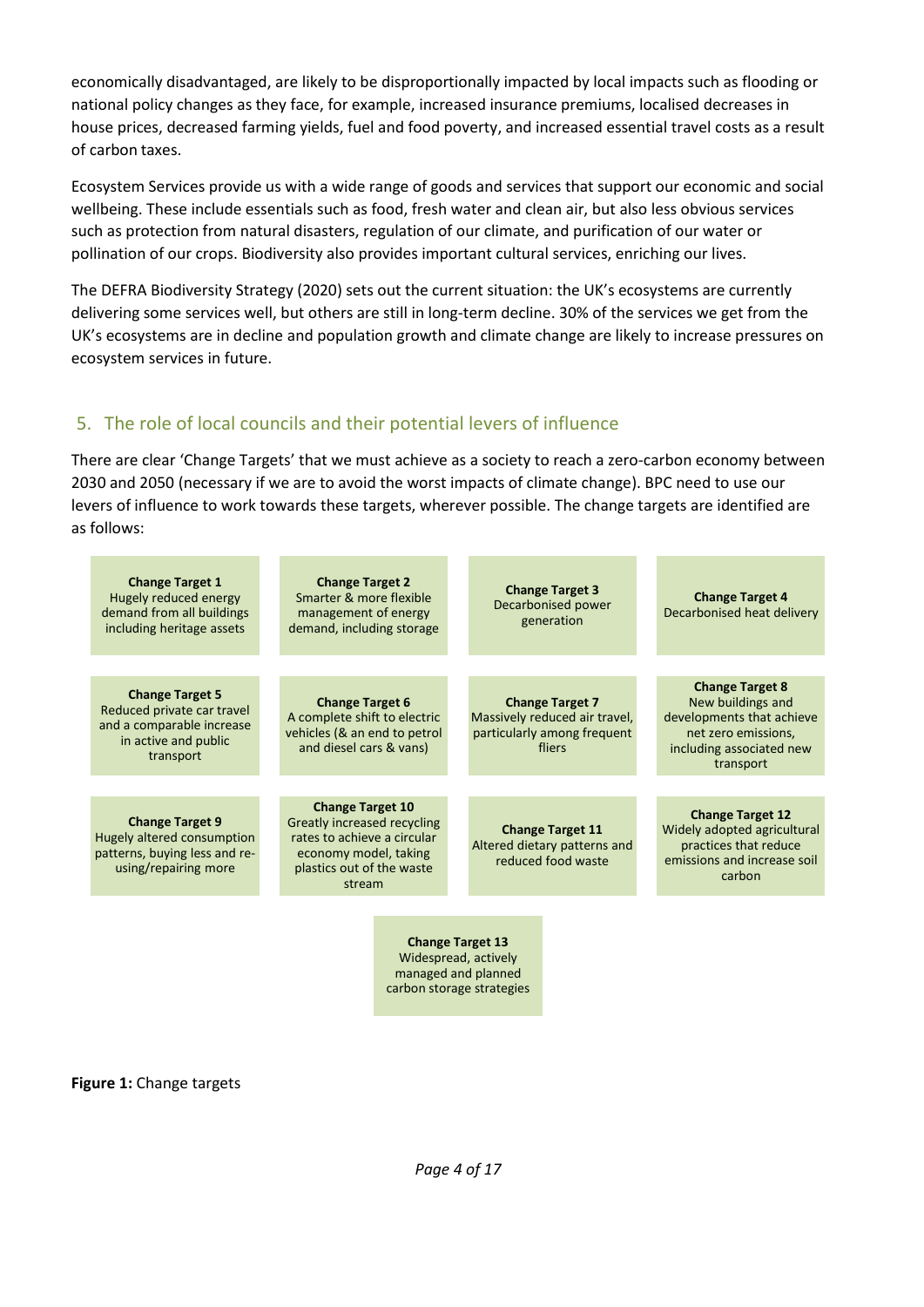economically disadvantaged, are likely to be disproportionally impacted by local impacts such as flooding or national policy changes as they face, for example, increased insurance premiums, localised decreases in house prices, decreased farming yields, fuel and food poverty, and increased essential travel costs as a result of carbon taxes.

Ecosystem Services provide us with a wide range of goods and services that support our economic and social wellbeing. These include essentials such as food, fresh water and clean air, but also less obvious services such as protection from natural disasters, regulation of our climate, and purification of our water or pollination of our crops. Biodiversity also provides important cultural services, enriching our lives.

The DEFRA Biodiversity Strategy (2020) sets out the current situation: the UK's ecosystems are currently delivering some services well, but others are still in long-term decline. 30% of the services we get from the UK's ecosystems are in decline and population growth and climate change are likely to increase pressures on ecosystem services in future.

#### <span id="page-3-0"></span>5. The role of local councils and their potential levers of influence

There are clear 'Change Targets' that we must achieve as a society to reach a zero-carbon economy between 2030 and 2050 (necessary if we are to avoid the worst impacts of climate change). BPC need to use our levers of influence to work towards these targets, wherever possible. The change targets are identified are as follows:

| <b>Change Target 1</b><br>Hugely reduced energy<br>demand from all buildings<br>including heritage assets              | <b>Change Target 2</b><br>Smarter & more flexible<br>management of energy<br>demand, including storage                                                | <b>Change Target 3</b><br>Decarbonised power<br>generation                                          | <b>Change Target 4</b><br>Decarbonised heat delivery                                                                     |
|------------------------------------------------------------------------------------------------------------------------|-------------------------------------------------------------------------------------------------------------------------------------------------------|-----------------------------------------------------------------------------------------------------|--------------------------------------------------------------------------------------------------------------------------|
|                                                                                                                        |                                                                                                                                                       |                                                                                                     | <b>Change Target 8</b>                                                                                                   |
| <b>Change Target 5</b><br>Reduced private car travel<br>and a comparable increase<br>in active and public<br>transport | <b>Change Target 6</b><br>A complete shift to electric<br>vehicles (& an end to petrol<br>and diesel cars & vans)                                     | <b>Change Target 7</b><br>Massively reduced air travel,<br>particularly among frequent<br>fliers    | New buildings and<br>developments that achieve<br>net zero emissions,<br>including associated new<br>transport           |
|                                                                                                                        |                                                                                                                                                       |                                                                                                     |                                                                                                                          |
| <b>Change Target 9</b><br>Hugely altered consumption<br>patterns, buying less and re-<br>using/repairing more          | <b>Change Target 10</b><br>Greatly increased recycling<br>rates to achieve a circular<br>economy model, taking<br>plastics out of the waste<br>stream | <b>Change Target 11</b><br>Altered dietary patterns and<br>reduced food waste                       | <b>Change Target 12</b><br>Widely adopted agricultural<br>practices that reduce<br>emissions and increase soil<br>carbon |
|                                                                                                                        |                                                                                                                                                       |                                                                                                     |                                                                                                                          |
|                                                                                                                        |                                                                                                                                                       | <b>Change Target 13</b><br>Widespread, actively<br>managed and planned<br>carbon storage strategies |                                                                                                                          |

**Figure 1:** Change targets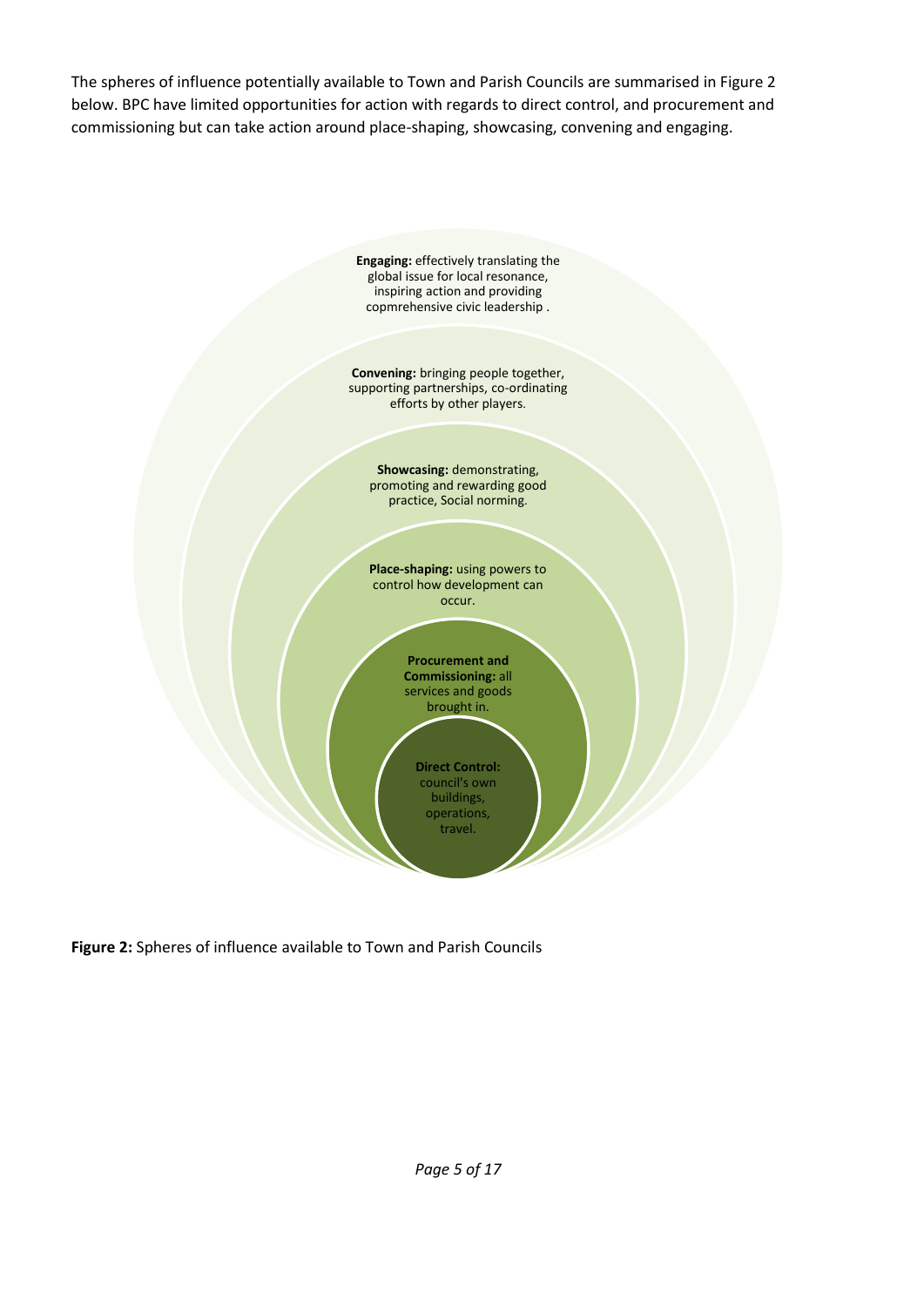The spheres of influence potentially available to Town and Parish Councils are summarised in Figure 2 below. BPC have limited opportunities for action with regards to direct control, and procurement and commissioning but can take action around place-shaping, showcasing, convening and engaging.



**Figure 2:** Spheres of influence available to Town and Parish Councils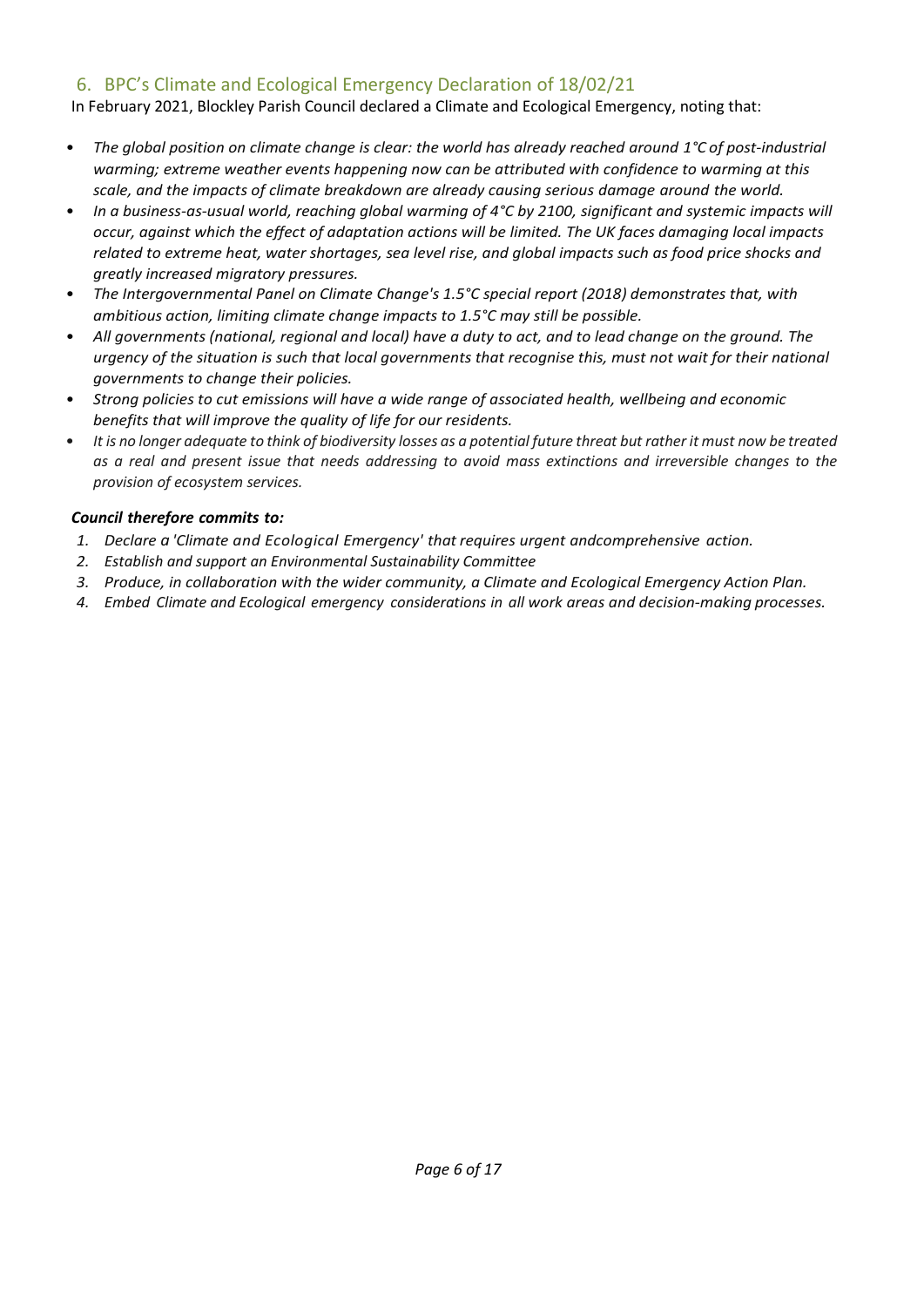#### <span id="page-5-0"></span>6. BPC's Climate and Ecological Emergency Declaration of 18/02/21

In February 2021, Blockley Parish Council declared a Climate and Ecological Emergency, noting that:

- *The global position on climate change is clear: the world has already reached around 1°C of post-industrial warming; extreme weather events happening now can be attributed with confidence to warming at this scale, and the impacts of climate breakdown are already causing serious damage around the world.*
- *In a business-as-usual world, reaching global warming of 4°C by 2100, significant and systemic impacts will occur, against which the effect of adaptation actions will be limited. The UK faces damaging local impacts related to extreme heat, water shortages, sea level rise, and global impacts such as food price shocks and greatly increased migratory pressures.*
- *The Intergovernmental Panel on Climate Change's 1.5°C special report (2018) demonstrates that, with ambitious action, limiting climate change impacts to 1.5°C may still be possible.*
- *All governments (national, regional and local) have a duty to act, and to lead change on the ground. The urgency of the situation is such that local governments that recognise this, must not wait for their national governments to change their policies.*
- *Strong policies to cut emissions will have a wide range of associated health, wellbeing and economic benefits that will improve the quality of life for our residents.*
- *It is no longer adequate to think of biodiversity losses as a potential future threat but rather it must now be treated as a real and present issue that needs addressing to avoid mass extinctions and irreversible changes to the provision of ecosystem services.*

#### *Council therefore commits to:*

- *1. Declare a 'Climate and Ecological Emergency' that requires urgent andcomprehensive action.*
- *2. Establish and support an Environmental Sustainability Committee*
- *3. Produce, in collaboration with the wider community, a Climate and Ecological Emergency Action Plan.*
- *4. Embed Climate and Ecological emergency considerations in all work areas and decision-making processes.*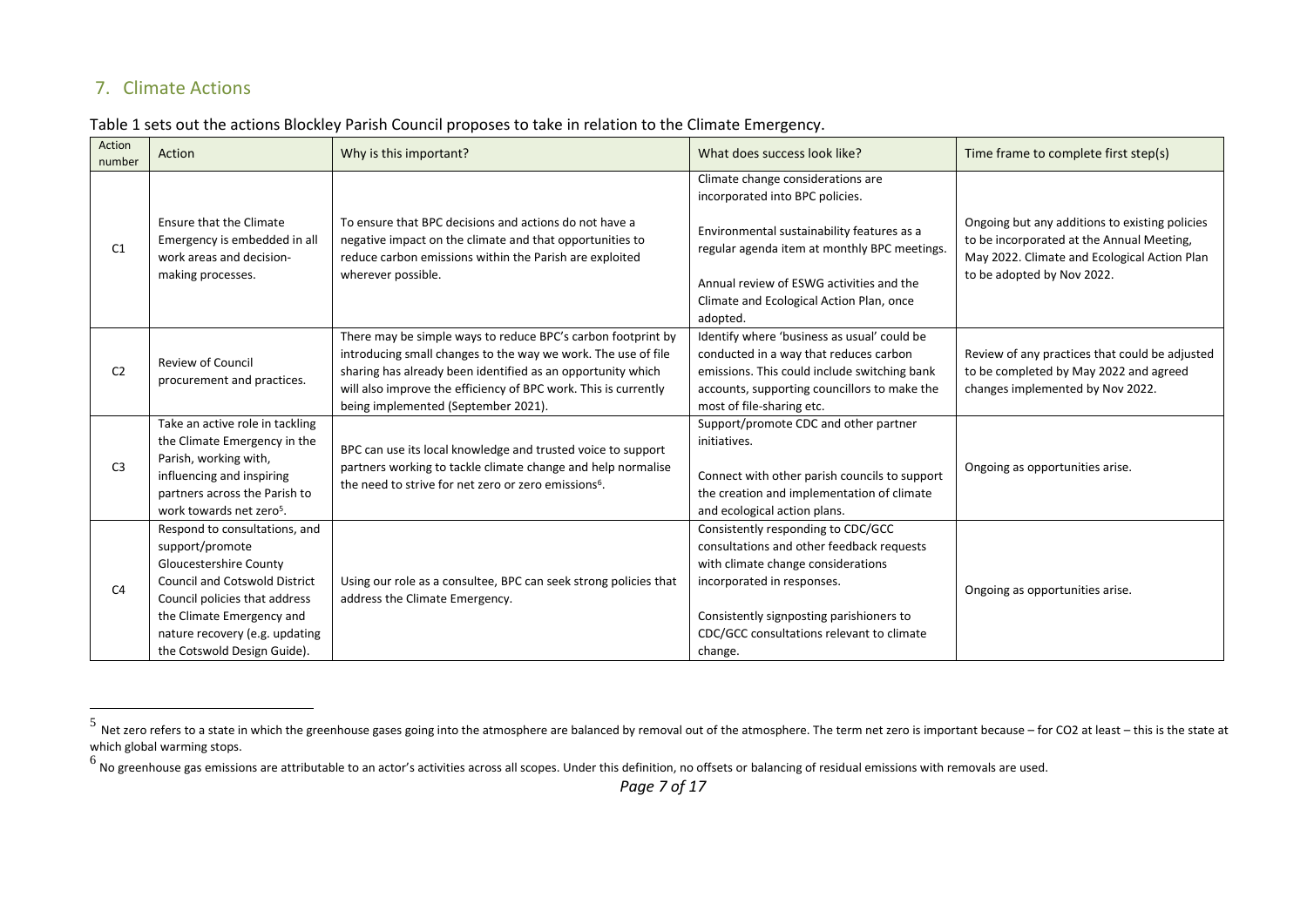#### 7. Climate Actions

|  |  | Table 1 sets out the actions Blockley Parish Council proposes to take in relation to the Climate Emergency. |
|--|--|-------------------------------------------------------------------------------------------------------------|
|--|--|-------------------------------------------------------------------------------------------------------------|

| Action<br>number | Action                                                                | Why is this important?                                                                                                           | What does success look like?                                                               | Time frame to complete first step(s)                                                     |
|------------------|-----------------------------------------------------------------------|----------------------------------------------------------------------------------------------------------------------------------|--------------------------------------------------------------------------------------------|------------------------------------------------------------------------------------------|
|                  | <b>Ensure that the Climate</b>                                        | To ensure that BPC decisions and actions do not have a                                                                           | Climate change considerations are<br>incorporated into BPC policies.                       | Ongoing but any additions to existing policies                                           |
| C1               | Emergency is embedded in all                                          | negative impact on the climate and that opportunities to                                                                         | Environmental sustainability features as a<br>regular agenda item at monthly BPC meetings. | to be incorporated at the Annual Meeting,                                                |
|                  | work areas and decision-<br>making processes.                         | reduce carbon emissions within the Parish are exploited<br>wherever possible.                                                    | Annual review of ESWG activities and the                                                   | May 2022. Climate and Ecological Action Plan<br>to be adopted by Nov 2022.               |
|                  |                                                                       |                                                                                                                                  | Climate and Ecological Action Plan, once<br>adopted.                                       |                                                                                          |
|                  |                                                                       | There may be simple ways to reduce BPC's carbon footprint by                                                                     | Identify where 'business as usual' could be                                                |                                                                                          |
| C <sub>2</sub>   | <b>Review of Council</b>                                              | introducing small changes to the way we work. The use of file<br>sharing has already been identified as an opportunity which     | conducted in a way that reduces carbon<br>emissions. This could include switching bank     | Review of any practices that could be adjusted<br>to be completed by May 2022 and agreed |
|                  | procurement and practices.                                            | will also improve the efficiency of BPC work. This is currently<br>being implemented (September 2021).                           | accounts, supporting councillors to make the<br>most of file-sharing etc.                  | changes implemented by Nov 2022.                                                         |
|                  | Take an active role in tackling                                       |                                                                                                                                  | Support/promote CDC and other partner                                                      |                                                                                          |
|                  | the Climate Emergency in the<br>Parish, working with,                 | BPC can use its local knowledge and trusted voice to support                                                                     | initiatives.                                                                               |                                                                                          |
| C <sub>3</sub>   | influencing and inspiring                                             | partners working to tackle climate change and help normalise<br>the need to strive for net zero or zero emissions <sup>6</sup> . | Connect with other parish councils to support                                              | Ongoing as opportunities arise.                                                          |
|                  | partners across the Parish to<br>work towards net zero <sup>5</sup> . |                                                                                                                                  | the creation and implementation of climate<br>and ecological action plans.                 |                                                                                          |
|                  | Respond to consultations, and                                         |                                                                                                                                  | Consistently responding to CDC/GCC                                                         |                                                                                          |
|                  | support/promote<br>Gloucestershire County                             |                                                                                                                                  | consultations and other feedback requests<br>with climate change considerations            |                                                                                          |
|                  | <b>Council and Cotswold District</b>                                  | Using our role as a consultee, BPC can seek strong policies that                                                                 | incorporated in responses.                                                                 |                                                                                          |
| C <sub>4</sub>   | Council policies that address                                         | address the Climate Emergency.                                                                                                   |                                                                                            | Ongoing as opportunities arise.                                                          |
|                  | the Climate Emergency and                                             |                                                                                                                                  | Consistently signposting parishioners to                                                   |                                                                                          |
|                  | nature recovery (e.g. updating                                        |                                                                                                                                  | CDC/GCC consultations relevant to climate                                                  |                                                                                          |
|                  | the Cotswold Design Guide).                                           |                                                                                                                                  | change.                                                                                    |                                                                                          |

<span id="page-6-0"></span><sup>&</sup>lt;sup>5</sup> Net zero refers to a state in which the greenhouse gases going into the atmosphere are balanced by removal out of the atmosphere. The term net zero is important because – for CO2 at least – this is the state at which global warming stops.

 $^6$  No greenhouse gas emissions are attributable to an actor's activities across all scopes. Under this definition, no offsets or balancing of residual emissions with removals are used.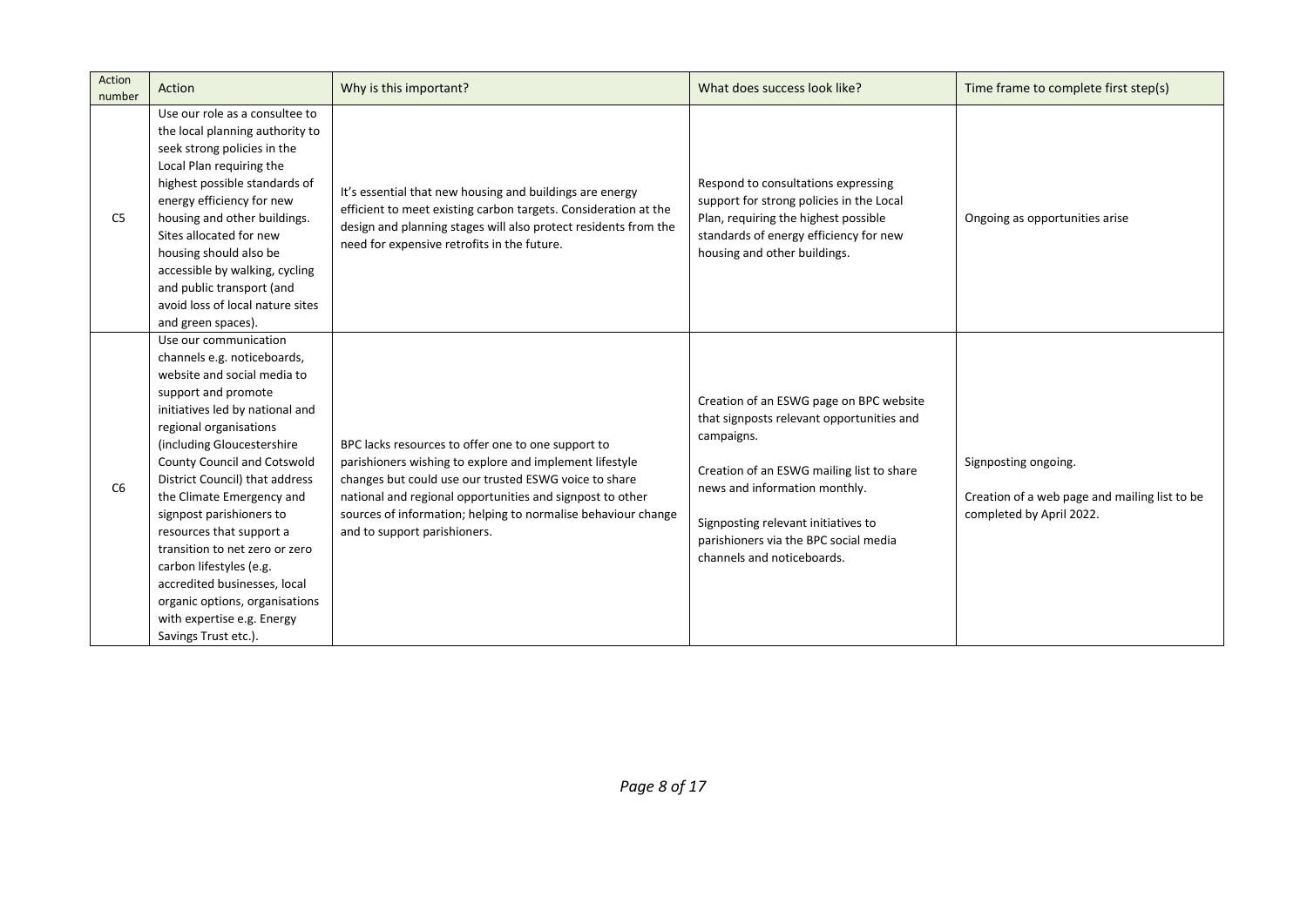| Action<br>number | Action                                                                                                                                                                                                                                                                                                                                                                                                                                                                                                                                           | Why is this important?                                                                                                                                                                                                                                                                                                               | What does success look like?                                                                                                                                                                                                                                                                   | Time frame to complete first step(s)                                                              |
|------------------|--------------------------------------------------------------------------------------------------------------------------------------------------------------------------------------------------------------------------------------------------------------------------------------------------------------------------------------------------------------------------------------------------------------------------------------------------------------------------------------------------------------------------------------------------|--------------------------------------------------------------------------------------------------------------------------------------------------------------------------------------------------------------------------------------------------------------------------------------------------------------------------------------|------------------------------------------------------------------------------------------------------------------------------------------------------------------------------------------------------------------------------------------------------------------------------------------------|---------------------------------------------------------------------------------------------------|
| C <sub>5</sub>   | Use our role as a consultee to<br>the local planning authority to<br>seek strong policies in the<br>Local Plan requiring the<br>highest possible standards of<br>energy efficiency for new<br>housing and other buildings.<br>Sites allocated for new<br>housing should also be<br>accessible by walking, cycling<br>and public transport (and<br>avoid loss of local nature sites<br>and green spaces).                                                                                                                                         | It's essential that new housing and buildings are energy<br>efficient to meet existing carbon targets. Consideration at the<br>design and planning stages will also protect residents from the<br>need for expensive retrofits in the future.                                                                                        | Respond to consultations expressing<br>support for strong policies in the Local<br>Plan, requiring the highest possible<br>standards of energy efficiency for new<br>housing and other buildings.                                                                                              | Ongoing as opportunities arise                                                                    |
| C <sub>6</sub>   | Use our communication<br>channels e.g. noticeboards,<br>website and social media to<br>support and promote<br>initiatives led by national and<br>regional organisations<br>(including Gloucestershire<br>County Council and Cotswold<br>District Council) that address<br>the Climate Emergency and<br>signpost parishioners to<br>resources that support a<br>transition to net zero or zero<br>carbon lifestyles (e.g.<br>accredited businesses, local<br>organic options, organisations<br>with expertise e.g. Energy<br>Savings Trust etc.). | BPC lacks resources to offer one to one support to<br>parishioners wishing to explore and implement lifestyle<br>changes but could use our trusted ESWG voice to share<br>national and regional opportunities and signpost to other<br>sources of information; helping to normalise behaviour change<br>and to support parishioners. | Creation of an ESWG page on BPC website<br>that signposts relevant opportunities and<br>campaigns.<br>Creation of an ESWG mailing list to share<br>news and information monthly.<br>Signposting relevant initiatives to<br>parishioners via the BPC social media<br>channels and noticeboards. | Signposting ongoing.<br>Creation of a web page and mailing list to be<br>completed by April 2022. |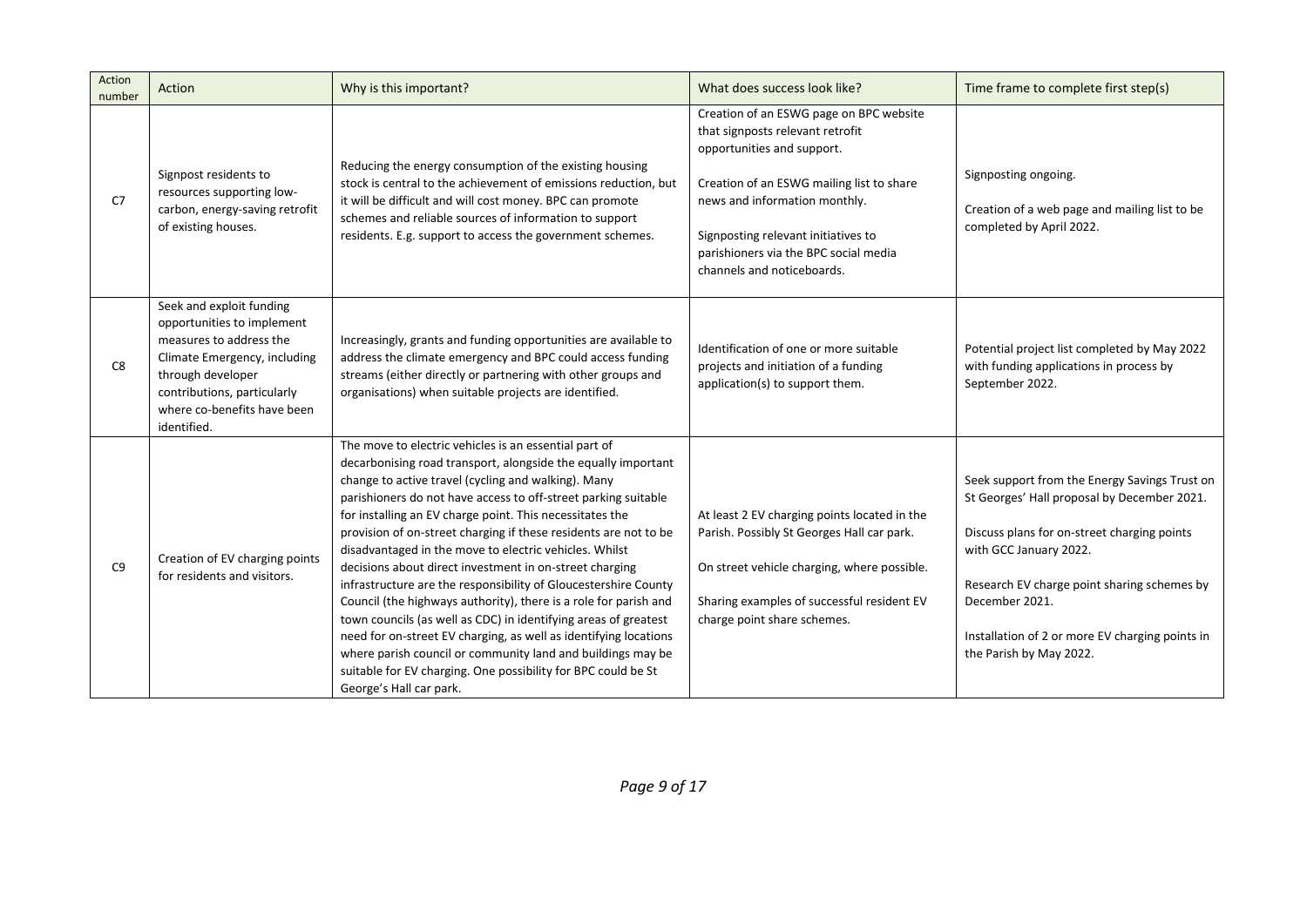| Action<br>number | Action                                                                                                                                                                                                              | Why is this important?                                                                                                                                                                                                                                                                                                                                                                                                                                                                                                                                                                                                                                                                                                                                                                                                                                                                                                                        | What does success look like?                                                                                                                                                                                                                                                                          | Time frame to complete first step(s)                                                                                                                                                                                                                                                                                 |
|------------------|---------------------------------------------------------------------------------------------------------------------------------------------------------------------------------------------------------------------|-----------------------------------------------------------------------------------------------------------------------------------------------------------------------------------------------------------------------------------------------------------------------------------------------------------------------------------------------------------------------------------------------------------------------------------------------------------------------------------------------------------------------------------------------------------------------------------------------------------------------------------------------------------------------------------------------------------------------------------------------------------------------------------------------------------------------------------------------------------------------------------------------------------------------------------------------|-------------------------------------------------------------------------------------------------------------------------------------------------------------------------------------------------------------------------------------------------------------------------------------------------------|----------------------------------------------------------------------------------------------------------------------------------------------------------------------------------------------------------------------------------------------------------------------------------------------------------------------|
| C <sub>7</sub>   | Signpost residents to<br>resources supporting low-<br>carbon, energy-saving retrofit<br>of existing houses.                                                                                                         | Reducing the energy consumption of the existing housing<br>stock is central to the achievement of emissions reduction, but<br>it will be difficult and will cost money. BPC can promote<br>schemes and reliable sources of information to support<br>residents. E.g. support to access the government schemes.                                                                                                                                                                                                                                                                                                                                                                                                                                                                                                                                                                                                                                | Creation of an ESWG page on BPC website<br>that signposts relevant retrofit<br>opportunities and support.<br>Creation of an ESWG mailing list to share<br>news and information monthly.<br>Signposting relevant initiatives to<br>parishioners via the BPC social media<br>channels and noticeboards. | Signposting ongoing.<br>Creation of a web page and mailing list to be<br>completed by April 2022.                                                                                                                                                                                                                    |
| C8               | Seek and exploit funding<br>opportunities to implement<br>measures to address the<br>Climate Emergency, including<br>through developer<br>contributions, particularly<br>where co-benefits have been<br>identified. | Increasingly, grants and funding opportunities are available to<br>address the climate emergency and BPC could access funding<br>streams (either directly or partnering with other groups and<br>organisations) when suitable projects are identified.                                                                                                                                                                                                                                                                                                                                                                                                                                                                                                                                                                                                                                                                                        | Identification of one or more suitable<br>projects and initiation of a funding<br>application(s) to support them.                                                                                                                                                                                     | Potential project list completed by May 2022<br>with funding applications in process by<br>September 2022.                                                                                                                                                                                                           |
| C <sub>9</sub>   | Creation of EV charging points<br>for residents and visitors.                                                                                                                                                       | The move to electric vehicles is an essential part of<br>decarbonising road transport, alongside the equally important<br>change to active travel (cycling and walking). Many<br>parishioners do not have access to off-street parking suitable<br>for installing an EV charge point. This necessitates the<br>provision of on-street charging if these residents are not to be<br>disadvantaged in the move to electric vehicles. Whilst<br>decisions about direct investment in on-street charging<br>infrastructure are the responsibility of Gloucestershire County<br>Council (the highways authority), there is a role for parish and<br>town councils (as well as CDC) in identifying areas of greatest<br>need for on-street EV charging, as well as identifying locations<br>where parish council or community land and buildings may be<br>suitable for EV charging. One possibility for BPC could be St<br>George's Hall car park. | At least 2 EV charging points located in the<br>Parish. Possibly St Georges Hall car park.<br>On street vehicle charging, where possible.<br>Sharing examples of successful resident EV<br>charge point share schemes.                                                                                | Seek support from the Energy Savings Trust on<br>St Georges' Hall proposal by December 2021.<br>Discuss plans for on-street charging points<br>with GCC January 2022.<br>Research EV charge point sharing schemes by<br>December 2021.<br>Installation of 2 or more EV charging points in<br>the Parish by May 2022. |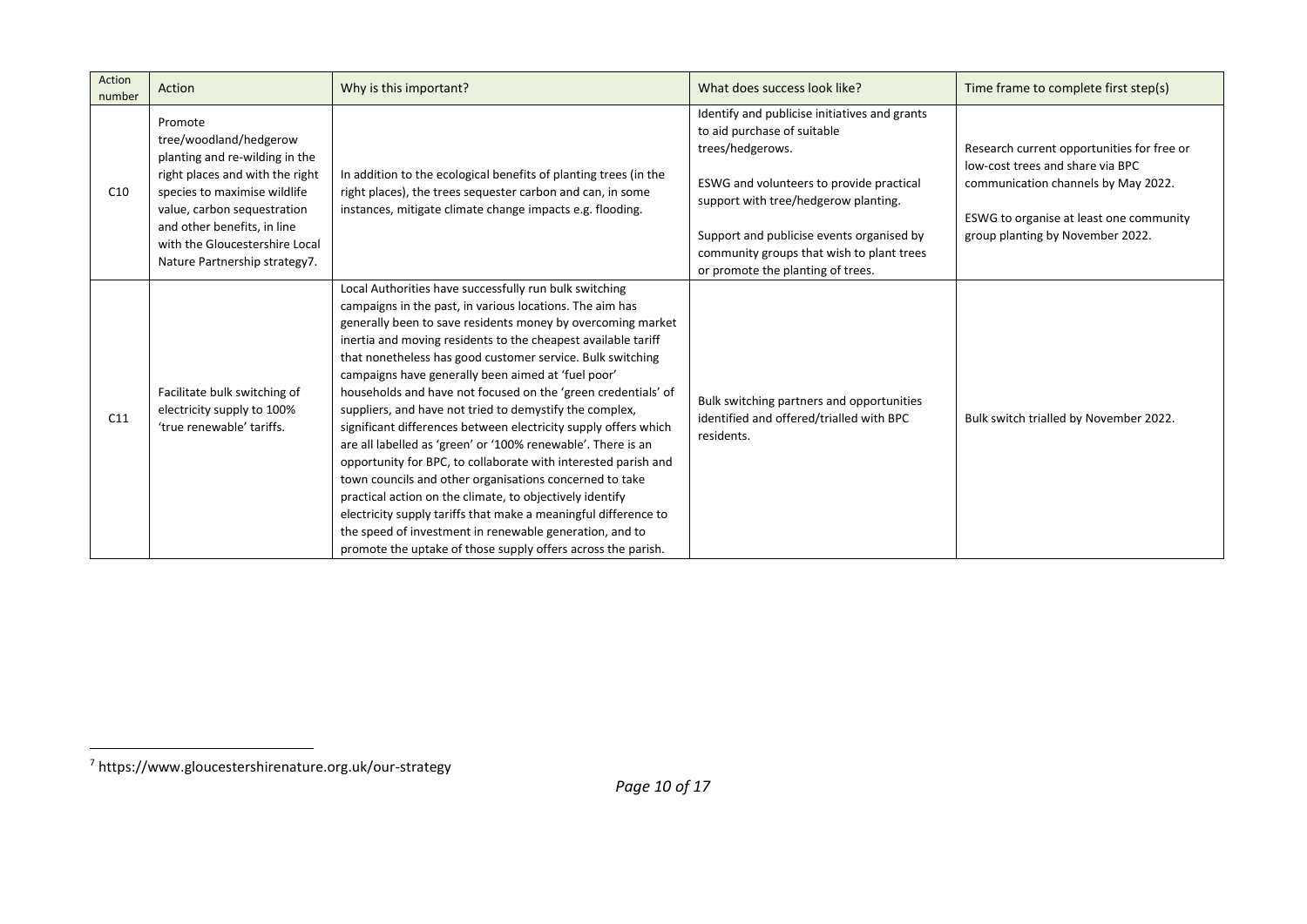| Action<br>number | Action                                                                                                                                                                                                                                                                  | Why is this important?                                                                                                                                                                                                                                                                                                                                                                                                                                                                                                                                                                                                                                                                                                                                                                                                                                                                                                                                                                                                       | What does success look like?                                                                                                                                                                                                                                                                                        | Time frame to complete first step(s)                                                                                                                                                                 |
|------------------|-------------------------------------------------------------------------------------------------------------------------------------------------------------------------------------------------------------------------------------------------------------------------|------------------------------------------------------------------------------------------------------------------------------------------------------------------------------------------------------------------------------------------------------------------------------------------------------------------------------------------------------------------------------------------------------------------------------------------------------------------------------------------------------------------------------------------------------------------------------------------------------------------------------------------------------------------------------------------------------------------------------------------------------------------------------------------------------------------------------------------------------------------------------------------------------------------------------------------------------------------------------------------------------------------------------|---------------------------------------------------------------------------------------------------------------------------------------------------------------------------------------------------------------------------------------------------------------------------------------------------------------------|------------------------------------------------------------------------------------------------------------------------------------------------------------------------------------------------------|
| C10              | Promote<br>tree/woodland/hedgerow<br>planting and re-wilding in the<br>right places and with the right<br>species to maximise wildlife<br>value, carbon sequestration<br>and other benefits, in line<br>with the Gloucestershire Local<br>Nature Partnership strategy7. | In addition to the ecological benefits of planting trees (in the<br>right places), the trees sequester carbon and can, in some<br>instances, mitigate climate change impacts e.g. flooding.                                                                                                                                                                                                                                                                                                                                                                                                                                                                                                                                                                                                                                                                                                                                                                                                                                  | Identify and publicise initiatives and grants<br>to aid purchase of suitable<br>trees/hedgerows.<br>ESWG and volunteers to provide practical<br>support with tree/hedgerow planting.<br>Support and publicise events organised by<br>community groups that wish to plant trees<br>or promote the planting of trees. | Research current opportunities for free or<br>low-cost trees and share via BPC<br>communication channels by May 2022.<br>ESWG to organise at least one community<br>group planting by November 2022. |
| C11              | Facilitate bulk switching of<br>electricity supply to 100%<br>'true renewable' tariffs.                                                                                                                                                                                 | Local Authorities have successfully run bulk switching<br>campaigns in the past, in various locations. The aim has<br>generally been to save residents money by overcoming market<br>inertia and moving residents to the cheapest available tariff<br>that nonetheless has good customer service. Bulk switching<br>campaigns have generally been aimed at 'fuel poor'<br>households and have not focused on the 'green credentials' of<br>suppliers, and have not tried to demystify the complex,<br>significant differences between electricity supply offers which<br>are all labelled as 'green' or '100% renewable'. There is an<br>opportunity for BPC, to collaborate with interested parish and<br>town councils and other organisations concerned to take<br>practical action on the climate, to objectively identify<br>electricity supply tariffs that make a meaningful difference to<br>the speed of investment in renewable generation, and to<br>promote the uptake of those supply offers across the parish. | Bulk switching partners and opportunities<br>identified and offered/trialled with BPC<br>residents.                                                                                                                                                                                                                 | Bulk switch trialled by November 2022.                                                                                                                                                               |

<sup>7</sup> https://www.gloucestershirenature.org.uk/our-strategy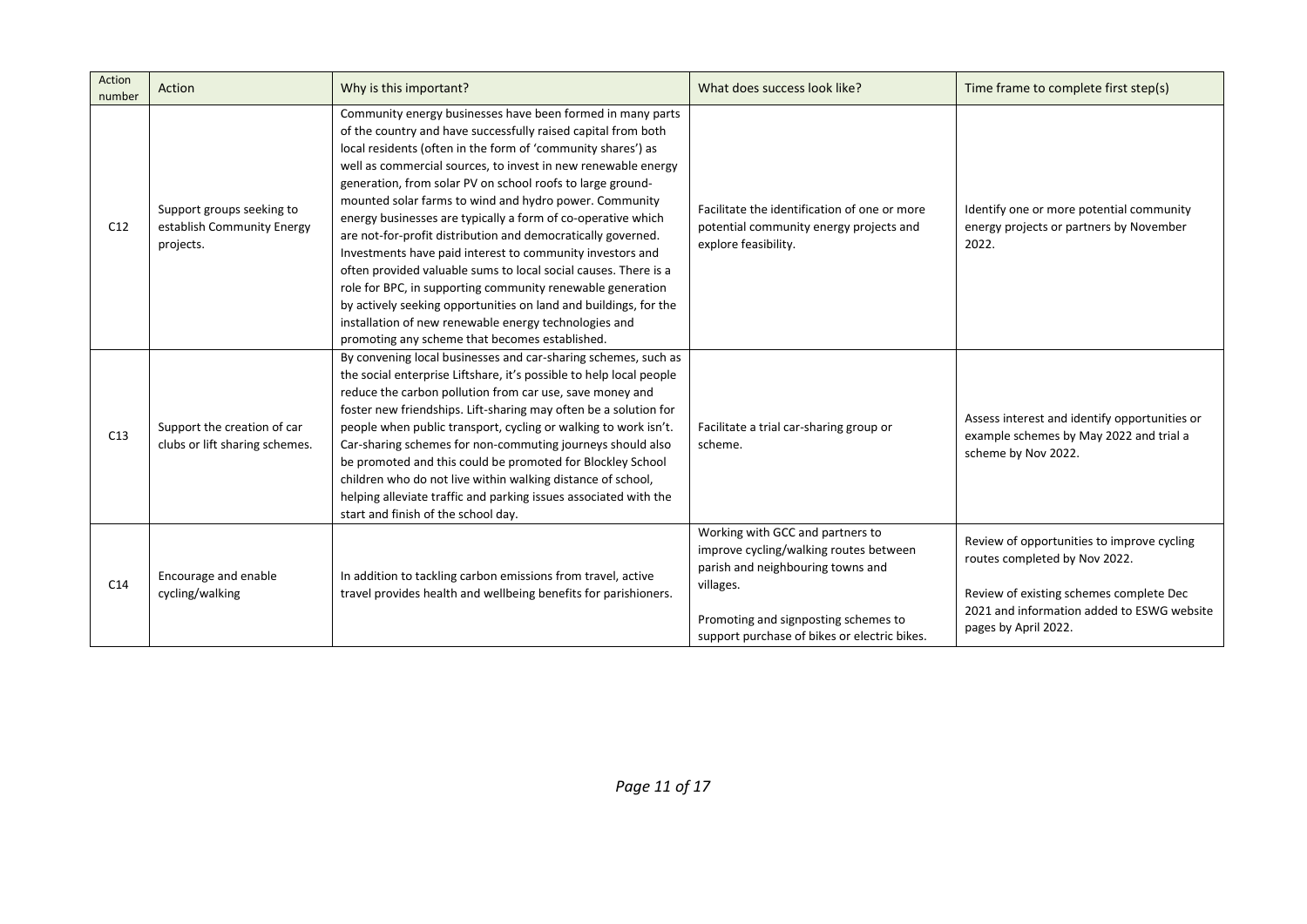| Action<br>number | Action                                                               | Why is this important?                                                                                                                                                                                                                                                                                                                                                                                                                                                                                                                                                                                                                                                                                                                                                                                                                                                                            | What does success look like?                                                                                                                                                                                         | Time frame to complete first step(s)                                                                                                                                                         |
|------------------|----------------------------------------------------------------------|---------------------------------------------------------------------------------------------------------------------------------------------------------------------------------------------------------------------------------------------------------------------------------------------------------------------------------------------------------------------------------------------------------------------------------------------------------------------------------------------------------------------------------------------------------------------------------------------------------------------------------------------------------------------------------------------------------------------------------------------------------------------------------------------------------------------------------------------------------------------------------------------------|----------------------------------------------------------------------------------------------------------------------------------------------------------------------------------------------------------------------|----------------------------------------------------------------------------------------------------------------------------------------------------------------------------------------------|
| C12              | Support groups seeking to<br>establish Community Energy<br>projects. | Community energy businesses have been formed in many parts<br>of the country and have successfully raised capital from both<br>local residents (often in the form of 'community shares') as<br>well as commercial sources, to invest in new renewable energy<br>generation, from solar PV on school roofs to large ground-<br>mounted solar farms to wind and hydro power. Community<br>energy businesses are typically a form of co-operative which<br>are not-for-profit distribution and democratically governed.<br>Investments have paid interest to community investors and<br>often provided valuable sums to local social causes. There is a<br>role for BPC, in supporting community renewable generation<br>by actively seeking opportunities on land and buildings, for the<br>installation of new renewable energy technologies and<br>promoting any scheme that becomes established. | Facilitate the identification of one or more<br>potential community energy projects and<br>explore feasibility.                                                                                                      | Identify one or more potential community<br>energy projects or partners by November<br>2022.                                                                                                 |
| C13              | Support the creation of car<br>clubs or lift sharing schemes.        | By convening local businesses and car-sharing schemes, such as<br>the social enterprise Liftshare, it's possible to help local people<br>reduce the carbon pollution from car use, save money and<br>foster new friendships. Lift-sharing may often be a solution for<br>people when public transport, cycling or walking to work isn't.<br>Car-sharing schemes for non-commuting journeys should also<br>be promoted and this could be promoted for Blockley School<br>children who do not live within walking distance of school,<br>helping alleviate traffic and parking issues associated with the<br>start and finish of the school day.                                                                                                                                                                                                                                                    | Facilitate a trial car-sharing group or<br>scheme.                                                                                                                                                                   | Assess interest and identify opportunities or<br>example schemes by May 2022 and trial a<br>scheme by Nov 2022.                                                                              |
| C14              | Encourage and enable<br>cycling/walking                              | In addition to tackling carbon emissions from travel, active<br>travel provides health and wellbeing benefits for parishioners.                                                                                                                                                                                                                                                                                                                                                                                                                                                                                                                                                                                                                                                                                                                                                                   | Working with GCC and partners to<br>improve cycling/walking routes between<br>parish and neighbouring towns and<br>villages.<br>Promoting and signposting schemes to<br>support purchase of bikes or electric bikes. | Review of opportunities to improve cycling<br>routes completed by Nov 2022.<br>Review of existing schemes complete Dec<br>2021 and information added to ESWG website<br>pages by April 2022. |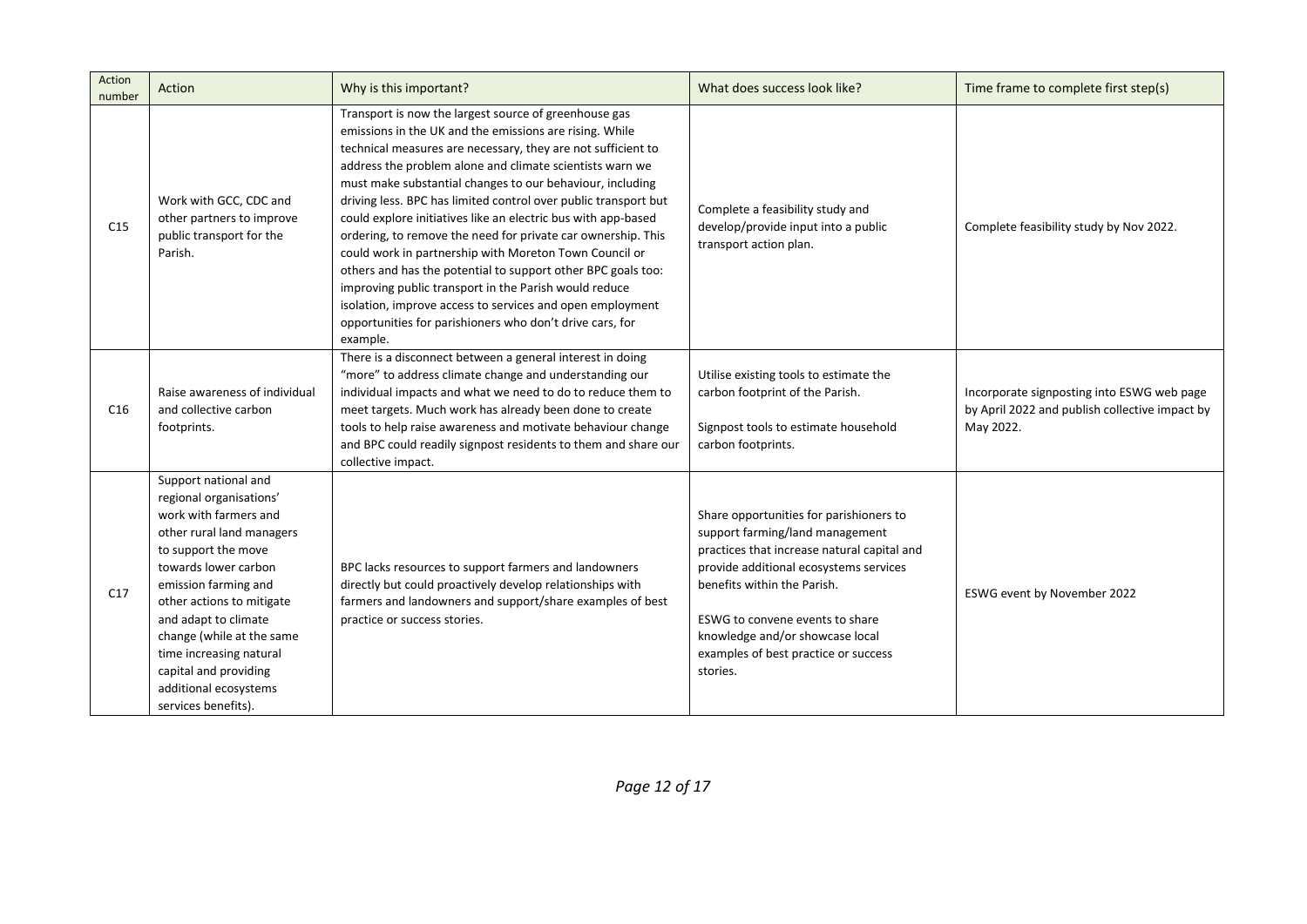| Action<br>number | Action                                                                                                                                                                                                                                                                                                                                                             | Why is this important?                                                                                                                                                                                                                                                                                                                                                                                                                                                                                                                                                                                                                                                                                                                                                                                                                | What does success look like?                                                                                                                                                                                                                                                                                                 | Time frame to complete first step(s)                                                                      |
|------------------|--------------------------------------------------------------------------------------------------------------------------------------------------------------------------------------------------------------------------------------------------------------------------------------------------------------------------------------------------------------------|---------------------------------------------------------------------------------------------------------------------------------------------------------------------------------------------------------------------------------------------------------------------------------------------------------------------------------------------------------------------------------------------------------------------------------------------------------------------------------------------------------------------------------------------------------------------------------------------------------------------------------------------------------------------------------------------------------------------------------------------------------------------------------------------------------------------------------------|------------------------------------------------------------------------------------------------------------------------------------------------------------------------------------------------------------------------------------------------------------------------------------------------------------------------------|-----------------------------------------------------------------------------------------------------------|
| C15              | Work with GCC, CDC and<br>other partners to improve<br>public transport for the<br>Parish.                                                                                                                                                                                                                                                                         | Transport is now the largest source of greenhouse gas<br>emissions in the UK and the emissions are rising. While<br>technical measures are necessary, they are not sufficient to<br>address the problem alone and climate scientists warn we<br>must make substantial changes to our behaviour, including<br>driving less. BPC has limited control over public transport but<br>could explore initiatives like an electric bus with app-based<br>ordering, to remove the need for private car ownership. This<br>could work in partnership with Moreton Town Council or<br>others and has the potential to support other BPC goals too:<br>improving public transport in the Parish would reduce<br>isolation, improve access to services and open employment<br>opportunities for parishioners who don't drive cars, for<br>example. | Complete a feasibility study and<br>develop/provide input into a public<br>transport action plan.                                                                                                                                                                                                                            | Complete feasibility study by Nov 2022.                                                                   |
| C16              | Raise awareness of individual<br>and collective carbon<br>footprints.                                                                                                                                                                                                                                                                                              | There is a disconnect between a general interest in doing<br>"more" to address climate change and understanding our<br>individual impacts and what we need to do to reduce them to<br>meet targets. Much work has already been done to create<br>tools to help raise awareness and motivate behaviour change<br>and BPC could readily signpost residents to them and share our<br>collective impact.                                                                                                                                                                                                                                                                                                                                                                                                                                  | Utilise existing tools to estimate the<br>carbon footprint of the Parish.<br>Signpost tools to estimate household<br>carbon footprints.                                                                                                                                                                                      | Incorporate signposting into ESWG web page<br>by April 2022 and publish collective impact by<br>May 2022. |
| C17              | Support national and<br>regional organisations'<br>work with farmers and<br>other rural land managers<br>to support the move<br>towards lower carbon<br>emission farming and<br>other actions to mitigate<br>and adapt to climate<br>change (while at the same<br>time increasing natural<br>capital and providing<br>additional ecosystems<br>services benefits). | BPC lacks resources to support farmers and landowners<br>directly but could proactively develop relationships with<br>farmers and landowners and support/share examples of best<br>practice or success stories.                                                                                                                                                                                                                                                                                                                                                                                                                                                                                                                                                                                                                       | Share opportunities for parishioners to<br>support farming/land management<br>practices that increase natural capital and<br>provide additional ecosystems services<br>benefits within the Parish.<br>ESWG to convene events to share<br>knowledge and/or showcase local<br>examples of best practice or success<br>stories. | ESWG event by November 2022                                                                               |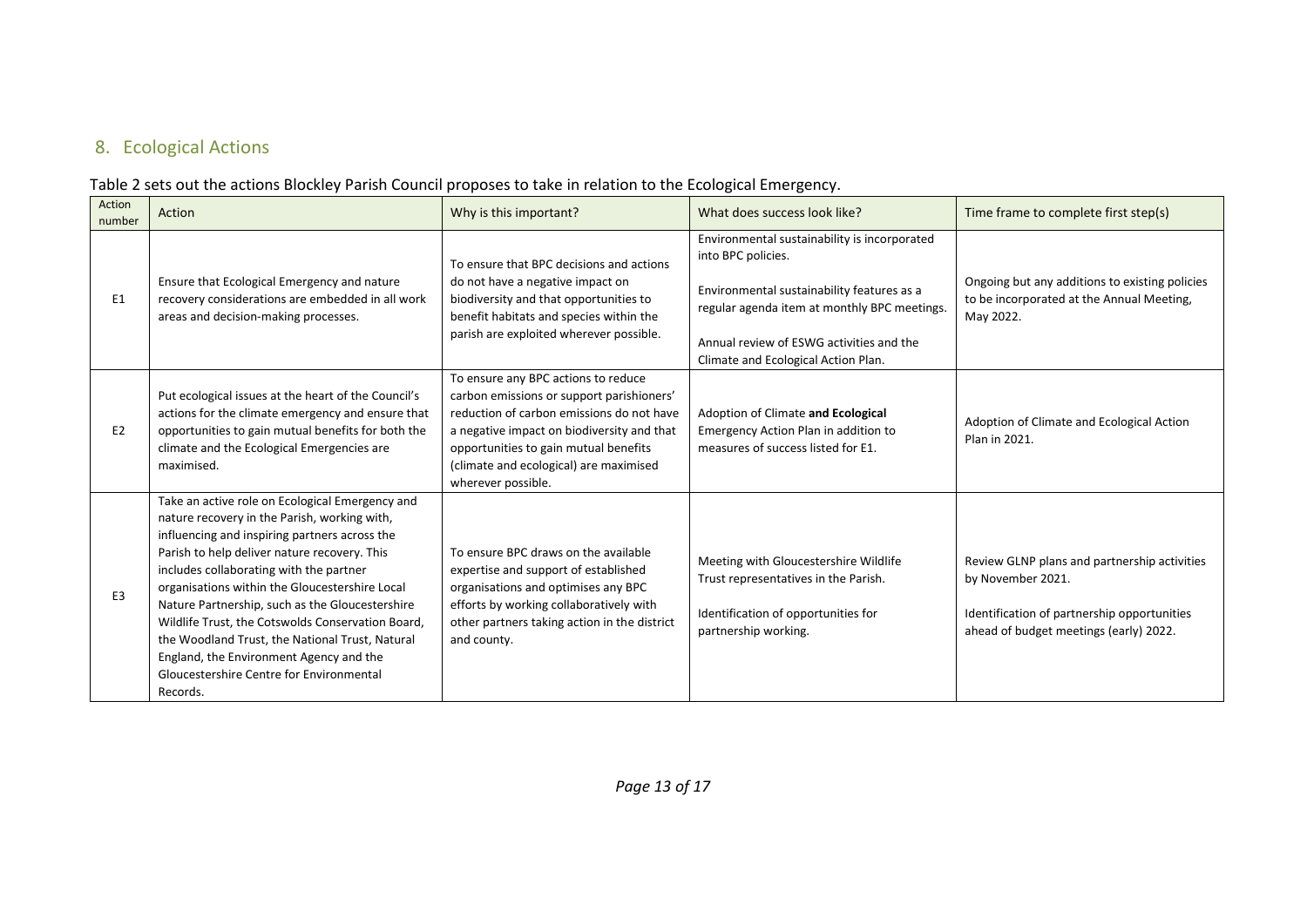## 8. Ecological Actions

#### Table 2 sets out the actions Blockley Parish Council proposes to take in relation to the Ecological Emergency.

<span id="page-12-0"></span>

| Action<br>number | Action                                                                                                                                                                                                                                                                                                                                                                                                                                                                                                                                                      | Why is this important?                                                                                                                                                                                                                                                               | What does success look like?                                                                                                                                                                                                                        | Time frame to complete first step(s)                                                                                                                       |
|------------------|-------------------------------------------------------------------------------------------------------------------------------------------------------------------------------------------------------------------------------------------------------------------------------------------------------------------------------------------------------------------------------------------------------------------------------------------------------------------------------------------------------------------------------------------------------------|--------------------------------------------------------------------------------------------------------------------------------------------------------------------------------------------------------------------------------------------------------------------------------------|-----------------------------------------------------------------------------------------------------------------------------------------------------------------------------------------------------------------------------------------------------|------------------------------------------------------------------------------------------------------------------------------------------------------------|
| E <sub>1</sub>   | Ensure that Ecological Emergency and nature<br>recovery considerations are embedded in all work<br>areas and decision-making processes.                                                                                                                                                                                                                                                                                                                                                                                                                     | To ensure that BPC decisions and actions<br>do not have a negative impact on<br>biodiversity and that opportunities to<br>benefit habitats and species within the<br>parish are exploited wherever possible.                                                                         | Environmental sustainability is incorporated<br>into BPC policies.<br>Environmental sustainability features as a<br>regular agenda item at monthly BPC meetings.<br>Annual review of ESWG activities and the<br>Climate and Ecological Action Plan. | Ongoing but any additions to existing policies<br>to be incorporated at the Annual Meeting,<br>May 2022.                                                   |
| E2               | Put ecological issues at the heart of the Council's<br>actions for the climate emergency and ensure that<br>opportunities to gain mutual benefits for both the<br>climate and the Ecological Emergencies are<br>maximised.                                                                                                                                                                                                                                                                                                                                  | To ensure any BPC actions to reduce<br>carbon emissions or support parishioners'<br>reduction of carbon emissions do not have<br>a negative impact on biodiversity and that<br>opportunities to gain mutual benefits<br>(climate and ecological) are maximised<br>wherever possible. | Adoption of Climate and Ecological<br>Emergency Action Plan in addition to<br>measures of success listed for E1.                                                                                                                                    | Adoption of Climate and Ecological Action<br>Plan in 2021.                                                                                                 |
| E <sub>3</sub>   | Take an active role on Ecological Emergency and<br>nature recovery in the Parish, working with,<br>influencing and inspiring partners across the<br>Parish to help deliver nature recovery. This<br>includes collaborating with the partner<br>organisations within the Gloucestershire Local<br>Nature Partnership, such as the Gloucestershire<br>Wildlife Trust, the Cotswolds Conservation Board,<br>the Woodland Trust, the National Trust, Natural<br>England, the Environment Agency and the<br>Gloucestershire Centre for Environmental<br>Records. | To ensure BPC draws on the available<br>expertise and support of established<br>organisations and optimises any BPC<br>efforts by working collaboratively with<br>other partners taking action in the district<br>and county.                                                        | Meeting with Gloucestershire Wildlife<br>Trust representatives in the Parish.<br>Identification of opportunities for<br>partnership working.                                                                                                        | Review GLNP plans and partnership activities<br>by November 2021.<br>Identification of partnership opportunities<br>ahead of budget meetings (early) 2022. |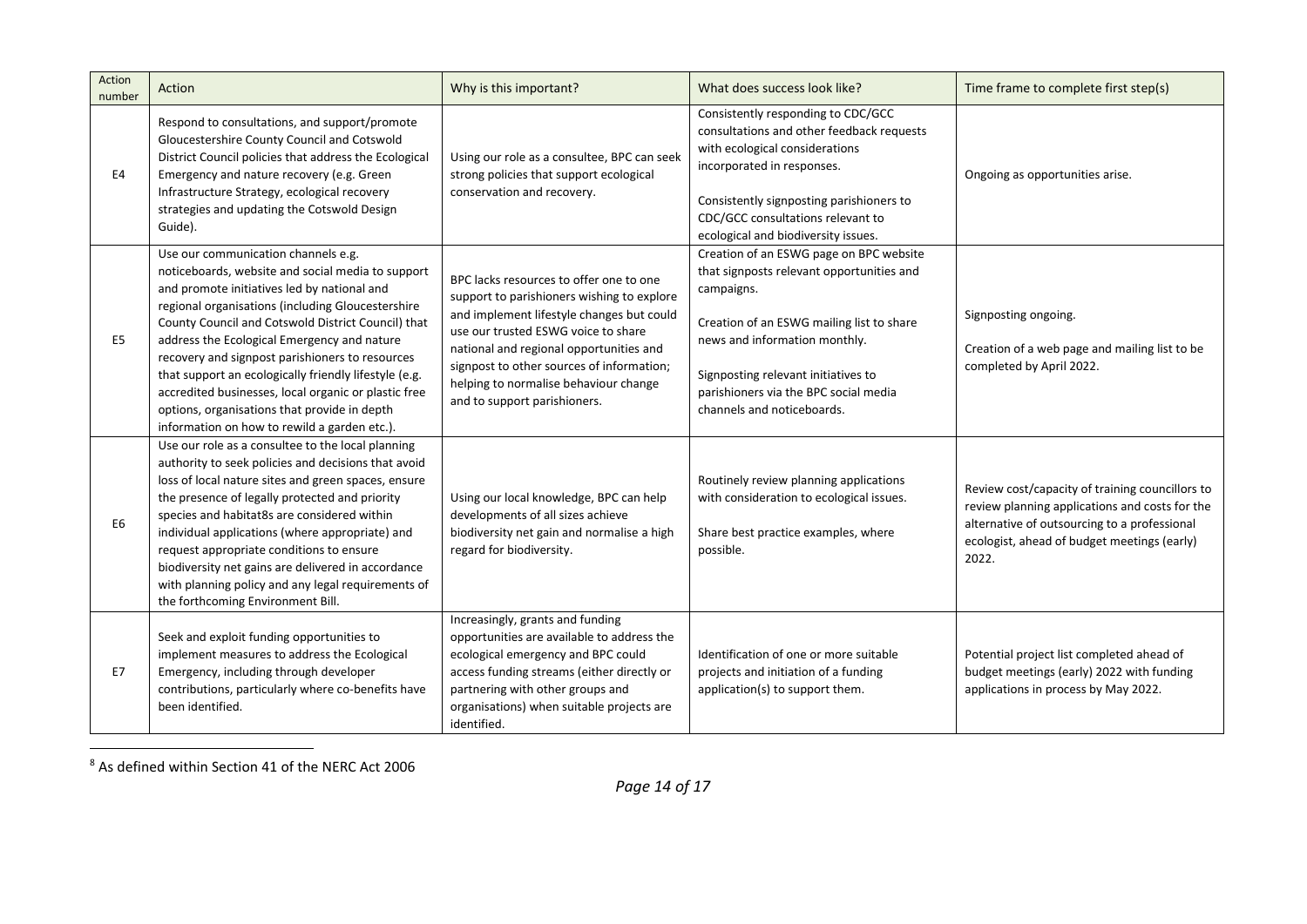| Action<br>number | Action                                                                                                                                                                                                                                                                                                                                                                                                                                                                                                                                                                | Why is this important?                                                                                                                                                                                                                                                                                                                     | What does success look like?                                                                                                                                                                                                                                                                   | Time frame to complete first step(s)                                                                                                                                                                      |
|------------------|-----------------------------------------------------------------------------------------------------------------------------------------------------------------------------------------------------------------------------------------------------------------------------------------------------------------------------------------------------------------------------------------------------------------------------------------------------------------------------------------------------------------------------------------------------------------------|--------------------------------------------------------------------------------------------------------------------------------------------------------------------------------------------------------------------------------------------------------------------------------------------------------------------------------------------|------------------------------------------------------------------------------------------------------------------------------------------------------------------------------------------------------------------------------------------------------------------------------------------------|-----------------------------------------------------------------------------------------------------------------------------------------------------------------------------------------------------------|
| E <sub>4</sub>   | Respond to consultations, and support/promote<br>Gloucestershire County Council and Cotswold<br>District Council policies that address the Ecological<br>Emergency and nature recovery (e.g. Green<br>Infrastructure Strategy, ecological recovery<br>strategies and updating the Cotswold Design<br>Guide).                                                                                                                                                                                                                                                          | Using our role as a consultee, BPC can seek<br>strong policies that support ecological<br>conservation and recovery.                                                                                                                                                                                                                       | Consistently responding to CDC/GCC<br>consultations and other feedback requests<br>with ecological considerations<br>incorporated in responses.<br>Consistently signposting parishioners to<br>CDC/GCC consultations relevant to<br>ecological and biodiversity issues.                        | Ongoing as opportunities arise.                                                                                                                                                                           |
| E <sub>5</sub>   | Use our communication channels e.g.<br>noticeboards, website and social media to support<br>and promote initiatives led by national and<br>regional organisations (including Gloucestershire<br>County Council and Cotswold District Council) that<br>address the Ecological Emergency and nature<br>recovery and signpost parishioners to resources<br>that support an ecologically friendly lifestyle (e.g.<br>accredited businesses, local organic or plastic free<br>options, organisations that provide in depth<br>information on how to rewild a garden etc.). | BPC lacks resources to offer one to one<br>support to parishioners wishing to explore<br>and implement lifestyle changes but could<br>use our trusted ESWG voice to share<br>national and regional opportunities and<br>signpost to other sources of information;<br>helping to normalise behaviour change<br>and to support parishioners. | Creation of an ESWG page on BPC website<br>that signposts relevant opportunities and<br>campaigns.<br>Creation of an ESWG mailing list to share<br>news and information monthly.<br>Signposting relevant initiatives to<br>parishioners via the BPC social media<br>channels and noticeboards. | Signposting ongoing.<br>Creation of a web page and mailing list to be<br>completed by April 2022.                                                                                                         |
| E <sub>6</sub>   | Use our role as a consultee to the local planning<br>authority to seek policies and decisions that avoid<br>loss of local nature sites and green spaces, ensure<br>the presence of legally protected and priority<br>species and habitat8s are considered within<br>individual applications (where appropriate) and<br>request appropriate conditions to ensure<br>biodiversity net gains are delivered in accordance<br>with planning policy and any legal requirements of<br>the forthcoming Environment Bill.                                                      | Using our local knowledge, BPC can help<br>developments of all sizes achieve<br>biodiversity net gain and normalise a high<br>regard for biodiversity.                                                                                                                                                                                     | Routinely review planning applications<br>with consideration to ecological issues.<br>Share best practice examples, where<br>possible.                                                                                                                                                         | Review cost/capacity of training councillors to<br>review planning applications and costs for the<br>alternative of outsourcing to a professional<br>ecologist, ahead of budget meetings (early)<br>2022. |
| E7               | Seek and exploit funding opportunities to<br>implement measures to address the Ecological<br>Emergency, including through developer<br>contributions, particularly where co-benefits have<br>been identified.                                                                                                                                                                                                                                                                                                                                                         | Increasingly, grants and funding<br>opportunities are available to address the<br>ecological emergency and BPC could<br>access funding streams (either directly or<br>partnering with other groups and<br>organisations) when suitable projects are<br>identified.                                                                         | Identification of one or more suitable<br>projects and initiation of a funding<br>application(s) to support them.                                                                                                                                                                              | Potential project list completed ahead of<br>budget meetings (early) 2022 with funding<br>applications in process by May 2022.                                                                            |

<sup>8</sup> As defined within Section 41 of the NERC Act 2006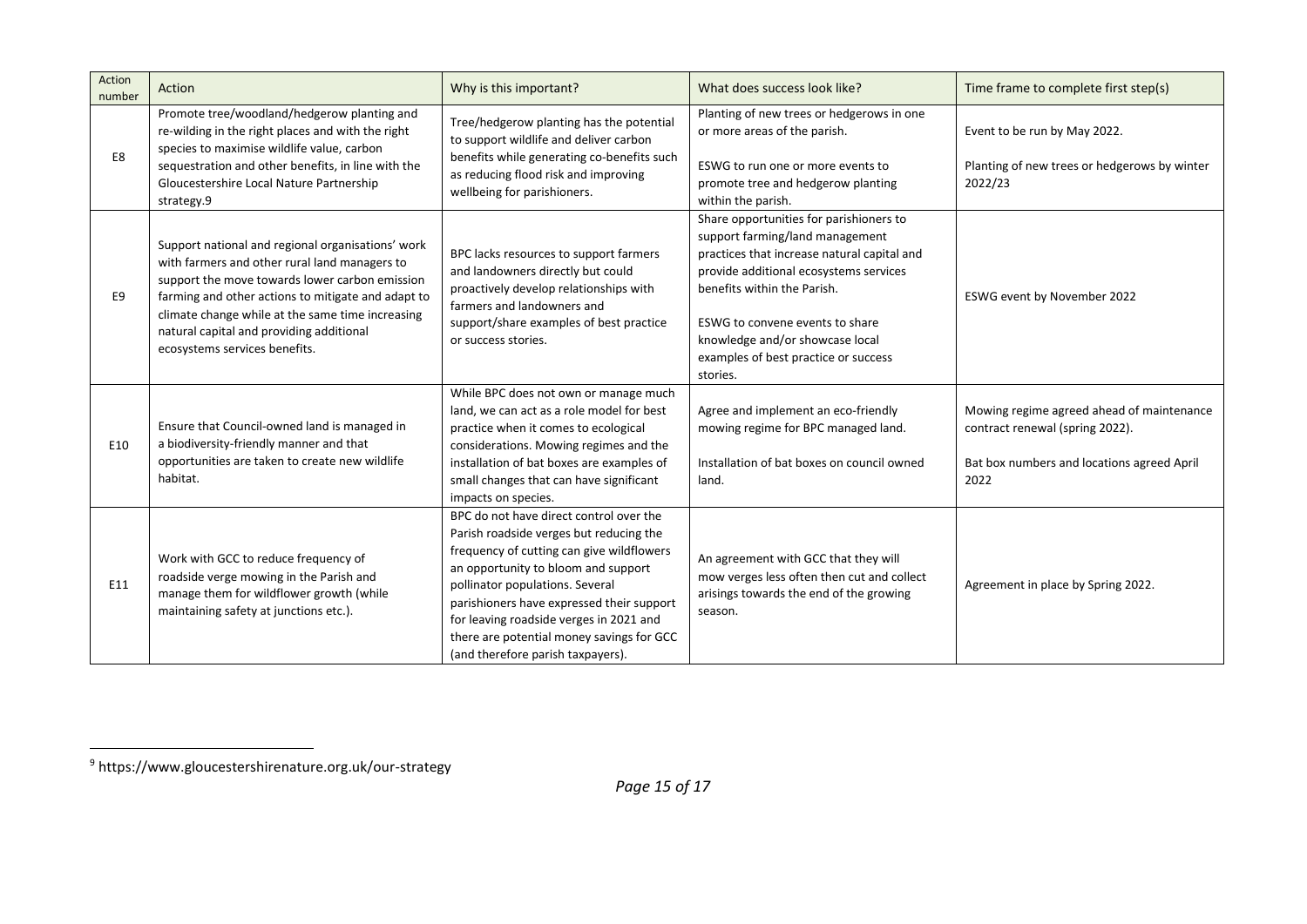| Action<br>number | Action                                                                                                                                                                                                                                                                                                                                      | Why is this important?                                                                                                                                                                                                                                                                                                                                                              | What does success look like?                                                                                                                                                                                                                                                                                                 | Time frame to complete first step(s)                                                                                               |
|------------------|---------------------------------------------------------------------------------------------------------------------------------------------------------------------------------------------------------------------------------------------------------------------------------------------------------------------------------------------|-------------------------------------------------------------------------------------------------------------------------------------------------------------------------------------------------------------------------------------------------------------------------------------------------------------------------------------------------------------------------------------|------------------------------------------------------------------------------------------------------------------------------------------------------------------------------------------------------------------------------------------------------------------------------------------------------------------------------|------------------------------------------------------------------------------------------------------------------------------------|
| E8               | Promote tree/woodland/hedgerow planting and<br>re-wilding in the right places and with the right<br>species to maximise wildlife value, carbon                                                                                                                                                                                              | Tree/hedgerow planting has the potential<br>to support wildlife and deliver carbon<br>benefits while generating co-benefits such                                                                                                                                                                                                                                                    | Planting of new trees or hedgerows in one<br>or more areas of the parish.                                                                                                                                                                                                                                                    | Event to be run by May 2022.                                                                                                       |
|                  | sequestration and other benefits, in line with the<br>Gloucestershire Local Nature Partnership<br>strategy.9                                                                                                                                                                                                                                | as reducing flood risk and improving<br>wellbeing for parishioners.                                                                                                                                                                                                                                                                                                                 | ESWG to run one or more events to<br>promote tree and hedgerow planting<br>within the parish.                                                                                                                                                                                                                                | Planting of new trees or hedgerows by winter<br>2022/23                                                                            |
| E9               | Support national and regional organisations' work<br>with farmers and other rural land managers to<br>support the move towards lower carbon emission<br>farming and other actions to mitigate and adapt to<br>climate change while at the same time increasing<br>natural capital and providing additional<br>ecosystems services benefits. | BPC lacks resources to support farmers<br>and landowners directly but could<br>proactively develop relationships with<br>farmers and landowners and<br>support/share examples of best practice<br>or success stories.                                                                                                                                                               | Share opportunities for parishioners to<br>support farming/land management<br>practices that increase natural capital and<br>provide additional ecosystems services<br>benefits within the Parish.<br>ESWG to convene events to share<br>knowledge and/or showcase local<br>examples of best practice or success<br>stories. | ESWG event by November 2022                                                                                                        |
| E10              | Ensure that Council-owned land is managed in<br>a biodiversity-friendly manner and that<br>opportunities are taken to create new wildlife<br>habitat.                                                                                                                                                                                       | While BPC does not own or manage much<br>land, we can act as a role model for best<br>practice when it comes to ecological<br>considerations. Mowing regimes and the<br>installation of bat boxes are examples of<br>small changes that can have significant<br>impacts on species.                                                                                                 | Agree and implement an eco-friendly<br>mowing regime for BPC managed land.<br>Installation of bat boxes on council owned<br>land.                                                                                                                                                                                            | Mowing regime agreed ahead of maintenance<br>contract renewal (spring 2022).<br>Bat box numbers and locations agreed April<br>2022 |
| E11              | Work with GCC to reduce frequency of<br>roadside verge mowing in the Parish and<br>manage them for wildflower growth (while<br>maintaining safety at junctions etc.).                                                                                                                                                                       | BPC do not have direct control over the<br>Parish roadside verges but reducing the<br>frequency of cutting can give wildflowers<br>an opportunity to bloom and support<br>pollinator populations. Several<br>parishioners have expressed their support<br>for leaving roadside verges in 2021 and<br>there are potential money savings for GCC<br>(and therefore parish taxpayers). | An agreement with GCC that they will<br>mow verges less often then cut and collect<br>arisings towards the end of the growing<br>season.                                                                                                                                                                                     | Agreement in place by Spring 2022.                                                                                                 |

<sup>9</sup> https://www.gloucestershirenature.org.uk/our-strategy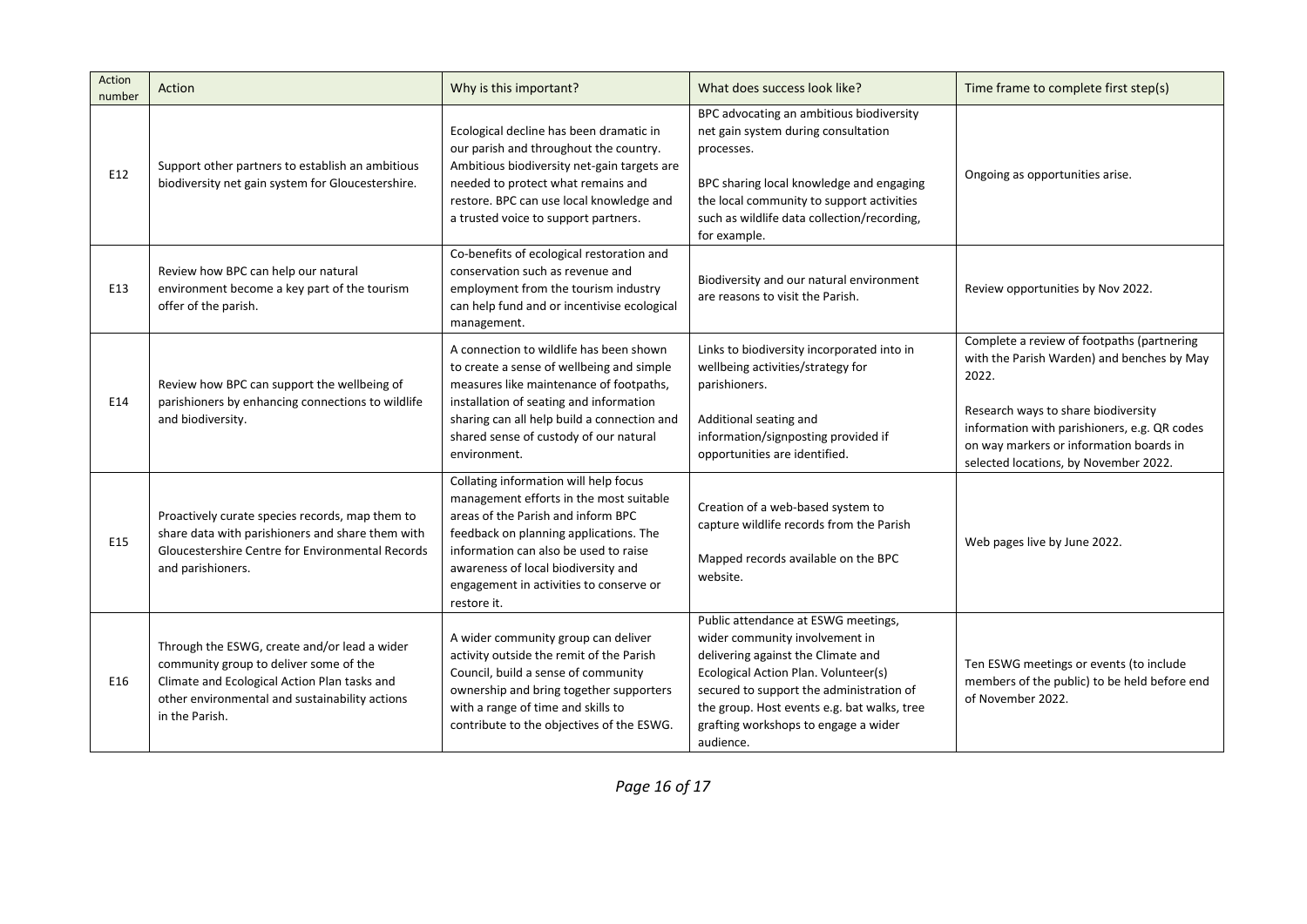| Action<br>number | Action                                                                                                                                                                                                     | Why is this important?                                                                                                                                                                                                                                                                                     | What does success look like?                                                                                                                                                                                                                                                                        | Time frame to complete first step(s)                                                                                                                                                                                                                                         |
|------------------|------------------------------------------------------------------------------------------------------------------------------------------------------------------------------------------------------------|------------------------------------------------------------------------------------------------------------------------------------------------------------------------------------------------------------------------------------------------------------------------------------------------------------|-----------------------------------------------------------------------------------------------------------------------------------------------------------------------------------------------------------------------------------------------------------------------------------------------------|------------------------------------------------------------------------------------------------------------------------------------------------------------------------------------------------------------------------------------------------------------------------------|
| E12              | Support other partners to establish an ambitious<br>biodiversity net gain system for Gloucestershire.                                                                                                      | Ecological decline has been dramatic in<br>our parish and throughout the country.<br>Ambitious biodiversity net-gain targets are<br>needed to protect what remains and<br>restore. BPC can use local knowledge and<br>a trusted voice to support partners.                                                 | BPC advocating an ambitious biodiversity<br>net gain system during consultation<br>processes.<br>BPC sharing local knowledge and engaging<br>the local community to support activities<br>such as wildlife data collection/recording,<br>for example.                                               | Ongoing as opportunities arise.                                                                                                                                                                                                                                              |
| E13              | Review how BPC can help our natural<br>environment become a key part of the tourism<br>offer of the parish.                                                                                                | Co-benefits of ecological restoration and<br>conservation such as revenue and<br>employment from the tourism industry<br>can help fund and or incentivise ecological<br>management.                                                                                                                        | Biodiversity and our natural environment<br>are reasons to visit the Parish.                                                                                                                                                                                                                        | Review opportunities by Nov 2022.                                                                                                                                                                                                                                            |
| E14              | Review how BPC can support the wellbeing of<br>parishioners by enhancing connections to wildlife<br>and biodiversity.                                                                                      | A connection to wildlife has been shown<br>to create a sense of wellbeing and simple<br>measures like maintenance of footpaths,<br>installation of seating and information<br>sharing can all help build a connection and<br>shared sense of custody of our natural<br>environment.                        | Links to biodiversity incorporated into in<br>wellbeing activities/strategy for<br>parishioners.<br>Additional seating and<br>information/signposting provided if<br>opportunities are identified.                                                                                                  | Complete a review of footpaths (partnering<br>with the Parish Warden) and benches by May<br>2022.<br>Research ways to share biodiversity<br>information with parishioners, e.g. QR codes<br>on way markers or information boards in<br>selected locations, by November 2022. |
| E15              | Proactively curate species records, map them to<br>share data with parishioners and share them with<br>Gloucestershire Centre for Environmental Records<br>and parishioners.                               | Collating information will help focus<br>management efforts in the most suitable<br>areas of the Parish and inform BPC<br>feedback on planning applications. The<br>information can also be used to raise<br>awareness of local biodiversity and<br>engagement in activities to conserve or<br>restore it. | Creation of a web-based system to<br>capture wildlife records from the Parish<br>Mapped records available on the BPC<br>website.                                                                                                                                                                    | Web pages live by June 2022.                                                                                                                                                                                                                                                 |
| E16              | Through the ESWG, create and/or lead a wider<br>community group to deliver some of the<br>Climate and Ecological Action Plan tasks and<br>other environmental and sustainability actions<br>in the Parish. | A wider community group can deliver<br>activity outside the remit of the Parish<br>Council, build a sense of community<br>ownership and bring together supporters<br>with a range of time and skills to<br>contribute to the objectives of the ESWG.                                                       | Public attendance at ESWG meetings,<br>wider community involvement in<br>delivering against the Climate and<br>Ecological Action Plan. Volunteer(s)<br>secured to support the administration of<br>the group. Host events e.g. bat walks, tree<br>grafting workshops to engage a wider<br>audience. | Ten ESWG meetings or events (to include<br>members of the public) to be held before end<br>of November 2022.                                                                                                                                                                 |